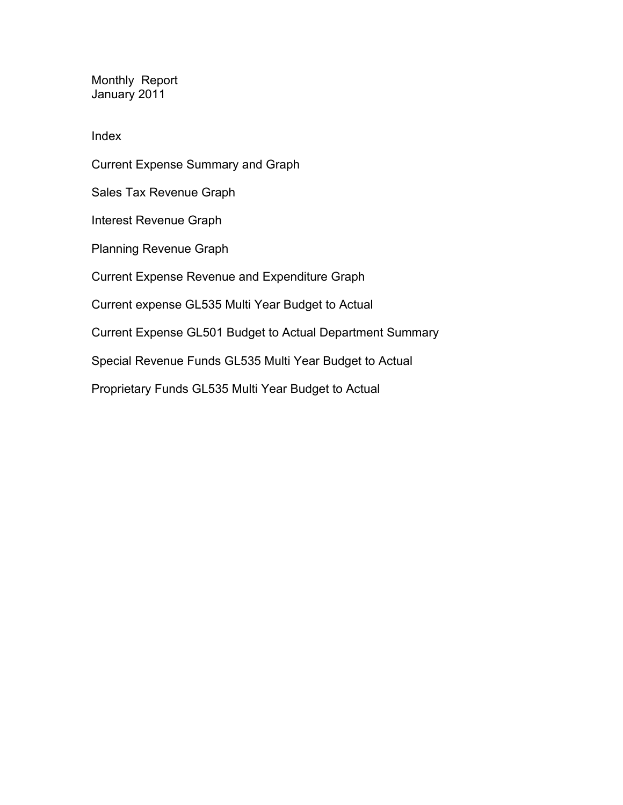Monthly Report January 2011

Index

Current Expense Summary and Graph Sales Tax Revenue Graph Interest Revenue Graph Planning Revenue Graph Current Expense Revenue and Expenditure Graph Current expense GL535 Multi Year Budget to Actual Current Expense GL501 Budget to Actual Department Summary Special Revenue Funds GL535 Multi Year Budget to Actual

Proprietary Funds GL535 Multi Year Budget to Actual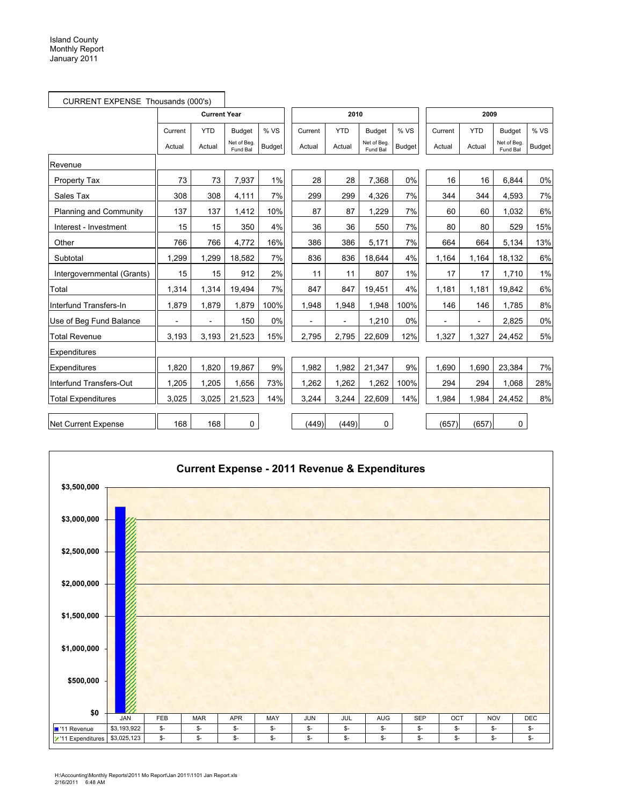$\mathbf{r}$ 

| CURRENT EXPENSE Thousands (000's) |                |                     |                         |               |                |            |                        |               |               |                          |                         |               |
|-----------------------------------|----------------|---------------------|-------------------------|---------------|----------------|------------|------------------------|---------------|---------------|--------------------------|-------------------------|---------------|
|                                   |                | <b>Current Year</b> |                         |               |                | 2010       |                        |               |               | 2009                     |                         |               |
|                                   | Current        | <b>YTD</b>          | Budget                  | % VS          | Current        | <b>YTD</b> | <b>Budget</b>          | %VS           | Current       | <b>YTD</b>               | <b>Budget</b>           | %VS           |
|                                   | Actual         | Actual              | Net of Beg.<br>Fund Bal | <b>Budget</b> | Actual         | Actual     | Net of Beg<br>Fund Bal | <b>Budget</b> | Actual        | Actual                   | Net of Beg.<br>Fund Bal | <b>Budget</b> |
| Revenue                           |                |                     |                         |               |                |            |                        |               |               |                          |                         |               |
| Property Tax                      | 73             | 73                  | 7,937                   | $1\%$         | 28             | 28         | 7,368                  | 0%            | 16            | 16                       | 6.844                   | 0%            |
| Sales Tax                         | 308            | 308                 | 4,111                   | 7%            | 299            | 299        | 4,326                  | 7%            | 344           | 344                      | 4,593                   | 7%            |
| Planning and Community            | 137            | 137                 | 1,412                   | 10%           | 87             | 87         | 1.229                  | 7%            | 60            | 60                       | 1.032                   | 6%            |
| Interest - Investment             | 15             | 15                  | 350                     | 4%            | 36             | 36         | 550                    | 7%            | 80            | 80                       | 529                     | 15%           |
| Other                             | 766            | 766                 | 4,772                   | 16%           | 386            | 386        | 5,171                  | 7%            | 664           | 664                      | 5,134                   | 13%           |
| Subtotal                          | 1,299          | 1,299               | 18,582                  | 7%            | 836            | 836        | 18,644                 | 4%            | 1,164         | 1,164                    | 18,132                  | 6%            |
| Intergovernmental (Grants)        | 15             | 15                  | 912                     | 2%            | 11             | 11         | 807                    | 1%            | 17            | 17                       | 1,710                   | 1%            |
| Total                             | 1,314          | 1,314               | 19,494                  | 7%            | 847            | 847        | 19,451                 | 4%            | 1.181         | 1,181                    | 19,842                  | 6%            |
| Interfund Transfers-In            | 1,879          | 1,879               | 1,879                   | 100%          | 1,948          | 1,948      | 1,948                  | 100%          | 146           | 146                      | 1,785                   | 8%            |
| Use of Beg Fund Balance           | $\overline{a}$ |                     | 150                     | $0\%$         | $\overline{a}$ |            | 1,210                  | 0%            | $\frac{1}{2}$ | $\overline{\phantom{a}}$ | 2,825                   | 0%            |
| Total Revenue                     | 3,193          | 3,193               | 21,523                  | 15%           | 2,795          | 2,795      | 22,609                 | 12%           | 1,327         | 1,327                    | 24,452                  | 5%            |
| Expenditures                      |                |                     |                         |               |                |            |                        |               |               |                          |                         |               |
| Expenditures                      | 1,820          | 1,820               | 19,867                  | 9%            | 1,982          | 1,982      | 21,347                 | 9%            | 1,690         | 1,690                    | 23,384                  | 7%            |
| Interfund Transfers-Out           | 1,205          | 1,205               | 1,656                   | 73%           | 1,262          | 1,262      | 1,262                  | 100%          | 294           | 294                      | 1,068                   | 28%           |
| <b>Total Expenditures</b>         | 3.025          | 3,025               | 21,523                  | 14%           | 3,244          | 3,244      | 22,609                 | 14%           | 1,984         | 1,984                    | 24,452                  | 8%            |
|                                   |                |                     |                         |               |                |            |                        |               |               |                          |                         |               |
| <b>Net Current Expense</b>        | 168            | 168                 | $\mathbf 0$             |               | (449)          | (449)      | 0                      |               | (657)         | (657)                    | 0                       |               |

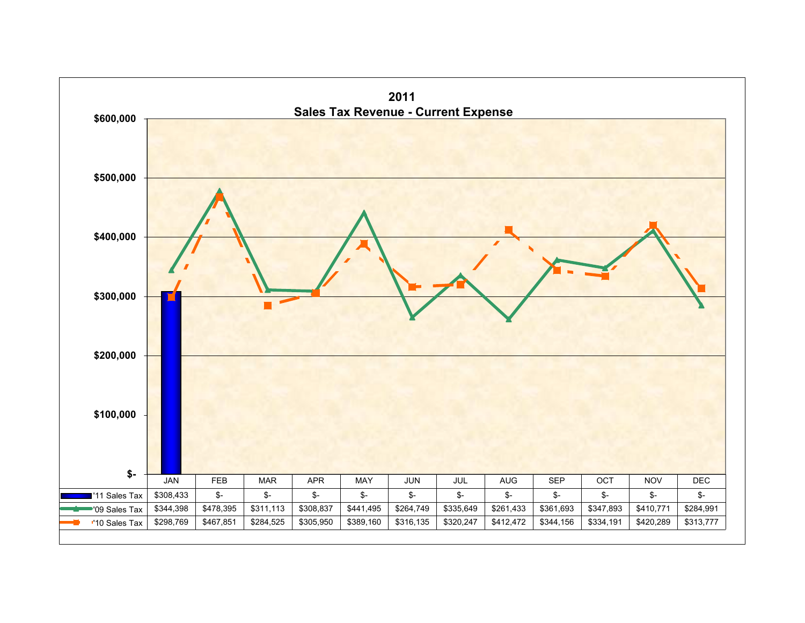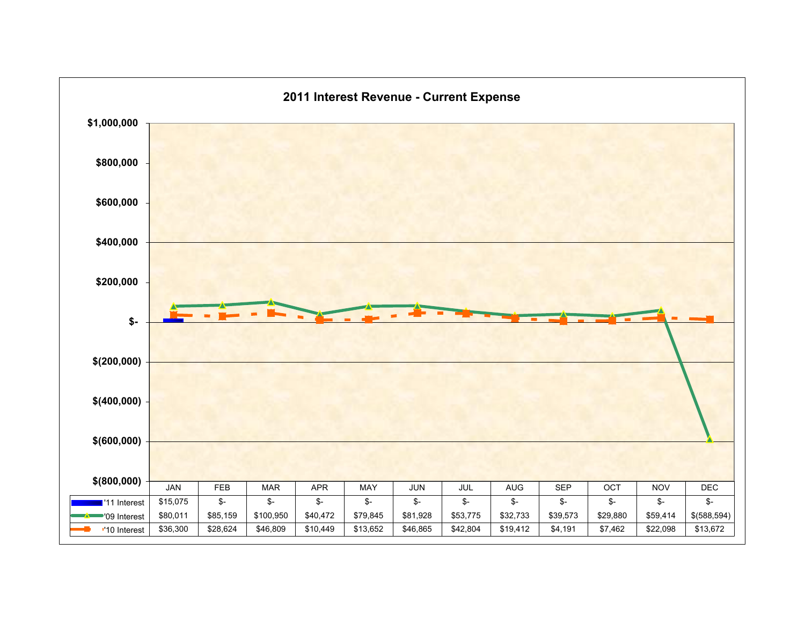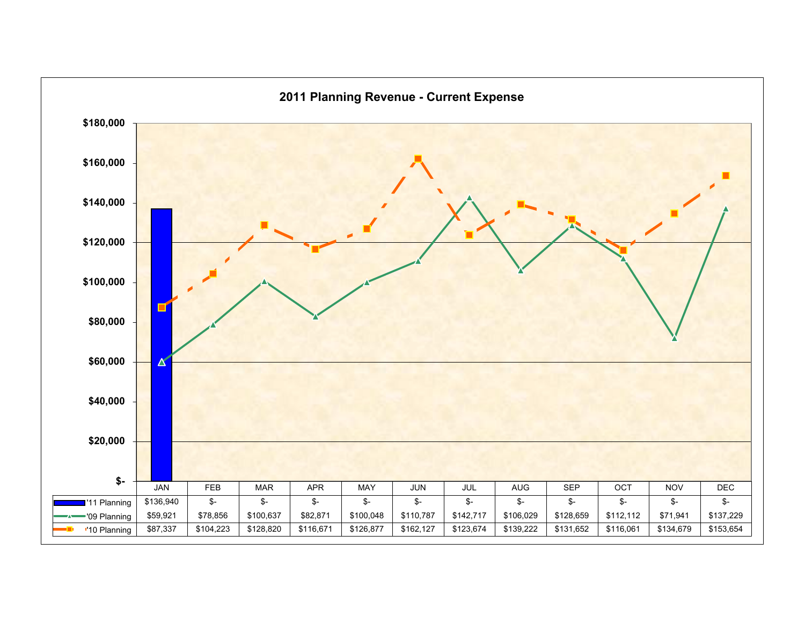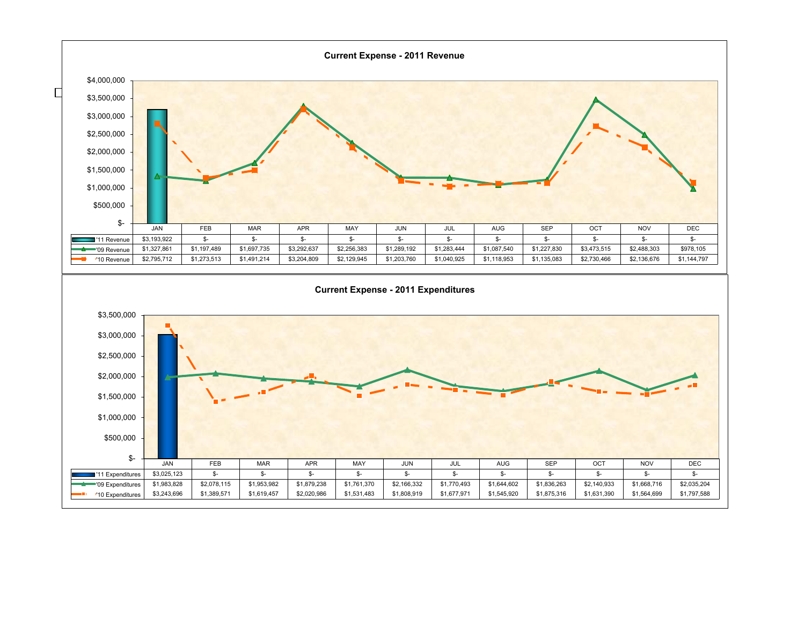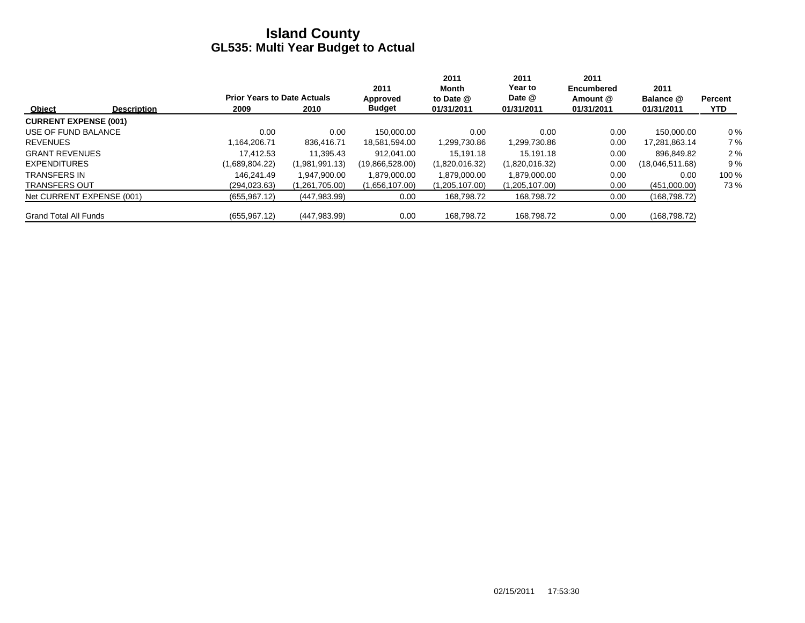|                              |                    |                                    |                | 2011            | 2011<br>Month  | 2011<br>Year to | 2011<br><b>Encumbered</b> | 2011            |                |
|------------------------------|--------------------|------------------------------------|----------------|-----------------|----------------|-----------------|---------------------------|-----------------|----------------|
|                              |                    | <b>Prior Years to Date Actuals</b> |                | Approved        | to Date @      | Date @          | Amount @                  | Balance @       | <b>Percent</b> |
| Object                       | <b>Description</b> | 2009                               | 2010           | <b>Budget</b>   | 01/31/2011     | 01/31/2011      | 01/31/2011                | 01/31/2011      | <b>YTD</b>     |
| <b>CURRENT EXPENSE (001)</b> |                    |                                    |                |                 |                |                 |                           |                 |                |
| USE OF FUND BALANCE          |                    | 0.00                               | 0.00           | 150.000.00      | 0.00           | 0.00            | 0.00                      | 150.000.00      | $0\%$          |
| <b>REVENUES</b>              |                    | 1.164.206.71                       | 836.416.71     | 18,581,594.00   | 1,299,730.86   | 1,299,730.86    | 0.00                      | 17,281,863.14   | 7%             |
| <b>GRANT REVENUES</b>        |                    | 17.412.53                          | 11.395.43      | 912.041.00      | 15.191.18      | 15.191.18       | 0.00                      | 896.849.82      | 2%             |
| <b>EXPENDITURES</b>          |                    | (1,689,804.22)                     | (1,981,991.13) | (19,866,528.00) | (1,820,016.32) | (1,820,016.32)  | 0.00                      | (18,046,511.68) | 9%             |
| <b>TRANSFERS IN</b>          |                    | 146.241.49                         | 1.947.900.00   | 1,879,000.00    | 1,879,000.00   | 1.879.000.00    | 0.00                      | 0.00            | 100 %          |
| <b>TRANSFERS OUT</b>         |                    | (294, 023.63)                      | (1,261,705.00) | (1,656,107.00)  | (1,205,107.00) | (1,205,107.00)  | 0.00                      | (451,000.00)    | 73%            |
| Net CURRENT EXPENSE (001)    |                    | (655, 967.12)                      | (447, 983.99)  | 0.00            | 168,798.72     | 168,798.72      | 0.00                      | (168, 798, 72)  |                |
| <b>Grand Total All Funds</b> |                    | (655, 967.12)                      | (447, 983.99)  | 0.00            | 168.798.72     | 168.798.72      | 0.00                      | (168, 798, 72)  |                |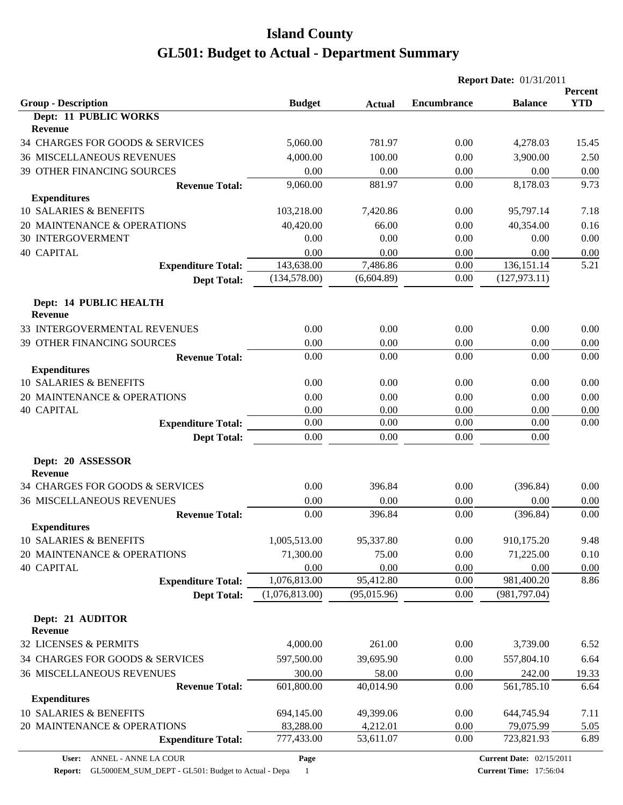|                                                 |                      |                   | <b>Report Date: 01/31/2011</b> |                    |                       |  |
|-------------------------------------------------|----------------------|-------------------|--------------------------------|--------------------|-----------------------|--|
| <b>Group - Description</b>                      | <b>Budget</b>        | <b>Actual</b>     | <b>Encumbrance</b>             | <b>Balance</b>     | Percent<br><b>YTD</b> |  |
| <b>Dept: 11 PUBLIC WORKS</b><br><b>Revenue</b>  |                      |                   |                                |                    |                       |  |
| 34 CHARGES FOR GOODS & SERVICES                 | 5,060.00             | 781.97            | 0.00                           | 4,278.03           | 15.45                 |  |
| <b>36 MISCELLANEOUS REVENUES</b>                | 4,000.00             | 100.00            | 0.00                           | 3,900.00           | 2.50                  |  |
| 39 OTHER FINANCING SOURCES                      | 0.00                 | 0.00              | 0.00                           | 0.00               | 0.00                  |  |
| <b>Revenue Total:</b>                           | 9,060.00             | 881.97            | 0.00                           | 8,178.03           | 9.73                  |  |
| <b>Expenditures</b>                             |                      |                   |                                |                    |                       |  |
| <b>10 SALARIES &amp; BENEFITS</b>               | 103,218.00           | 7,420.86          | 0.00                           | 95,797.14          | 7.18                  |  |
| 20 MAINTENANCE & OPERATIONS                     | 40,420.00            | 66.00             | 0.00                           | 40,354.00          | 0.16                  |  |
| <b>30 INTERGOVERMENT</b>                        | 0.00                 | 0.00              | 0.00                           | 0.00               | 0.00                  |  |
| <b>40 CAPITAL</b>                               | 0.00                 | 0.00              | 0.00                           | 0.00               | 0.00                  |  |
| <b>Expenditure Total:</b>                       | 143,638.00           | 7,486.86          | 0.00                           | 136, 151. 14       | 5.21                  |  |
| <b>Dept Total:</b>                              | (134, 578.00)        | (6,604.89)        | 0.00                           | (127, 973.11)      |                       |  |
| Dept: 14 PUBLIC HEALTH<br><b>Revenue</b>        |                      |                   |                                |                    |                       |  |
| 33 INTERGOVERMENTAL REVENUES                    | 0.00                 | 0.00              | 0.00                           | 0.00               | 0.00                  |  |
| 39 OTHER FINANCING SOURCES                      | 0.00                 | 0.00              | 0.00                           | 0.00               | 0.00                  |  |
| <b>Revenue Total:</b>                           | 0.00                 | 0.00              | 0.00                           | 0.00               | 0.00                  |  |
| <b>Expenditures</b>                             |                      |                   |                                |                    |                       |  |
| <b>10 SALARIES &amp; BENEFITS</b>               | 0.00                 | 0.00              | 0.00                           | 0.00               | 0.00                  |  |
| 20 MAINTENANCE & OPERATIONS                     | 0.00                 | 0.00              | 0.00                           | 0.00               | 0.00                  |  |
| <b>40 CAPITAL</b>                               | 0.00                 | 0.00              | 0.00                           | 0.00               | 0.00                  |  |
| <b>Expenditure Total:</b>                       | 0.00                 | 0.00              | 0.00                           | 0.00               | 0.00                  |  |
| <b>Dept Total:</b>                              | 0.00                 | 0.00              | 0.00                           | 0.00               |                       |  |
| Dept: 20 ASSESSOR                               |                      |                   |                                |                    |                       |  |
| <b>Revenue</b>                                  |                      |                   |                                |                    |                       |  |
| 34 CHARGES FOR GOODS & SERVICES                 | 0.00                 | 396.84            | 0.00                           | (396.84)           | 0.00                  |  |
| <b>36 MISCELLANEOUS REVENUES</b>                | 0.00                 | 0.00              | 0.00                           | 0.00               | 0.00                  |  |
| <b>Revenue Total:</b>                           | 0.00                 | 396.84            | 0.00                           | (396.84)           | 0.00                  |  |
| <b>Expenditures</b>                             |                      |                   |                                |                    |                       |  |
| 10 SALARIES & BENEFITS                          | 1,005,513.00         | 95,337.80         | 0.00                           | 910,175.20         | 9.48                  |  |
| 20 MAINTENANCE & OPERATIONS                     | 71,300.00            | 75.00             | 0.00                           | 71,225.00          | 0.10                  |  |
| <b>40 CAPITAL</b>                               | 0.00<br>1,076,813.00 | 0.00<br>95,412.80 | 0.00<br>0.00                   | 0.00<br>981,400.20 | 0.00<br>8.86          |  |
| <b>Expenditure Total:</b><br><b>Dept Total:</b> | (1,076,813.00)       | (95,015.96)       | 0.00                           | (981, 797.04)      |                       |  |
|                                                 |                      |                   |                                |                    |                       |  |
| Dept: 21 AUDITOR<br><b>Revenue</b>              |                      |                   |                                |                    |                       |  |
| 32 LICENSES & PERMITS                           | 4,000.00             | 261.00            | 0.00                           | 3,739.00           | 6.52                  |  |
|                                                 |                      |                   |                                |                    |                       |  |
| 34 CHARGES FOR GOODS & SERVICES                 | 597,500.00           | 39,695.90         | 0.00                           | 557,804.10         | 6.64                  |  |
| <b>36 MISCELLANEOUS REVENUES</b>                | 300.00               | 58.00             | 0.00                           | 242.00             | 19.33                 |  |
| <b>Revenue Total:</b><br><b>Expenditures</b>    | 601,800.00           | 40,014.90         | 0.00                           | 561,785.10         | 6.64                  |  |
| 10 SALARIES & BENEFITS                          | 694,145.00           | 49,399.06         | 0.00                           | 644,745.94         | 7.11                  |  |
| 20 MAINTENANCE & OPERATIONS                     | 83,288.00            | 4,212.01          | 0.00                           | 79,075.99          | 5.05                  |  |
| <b>Expenditure Total:</b>                       | 777,433.00           | 53,611.07         | 0.00                           | 723,821.93         | 6.89                  |  |
|                                                 |                      |                   |                                |                    |                       |  |

**Page**

**Report:** GL5000EM\_SUM\_DEPT - GL501: Budget to Actual - Depa 1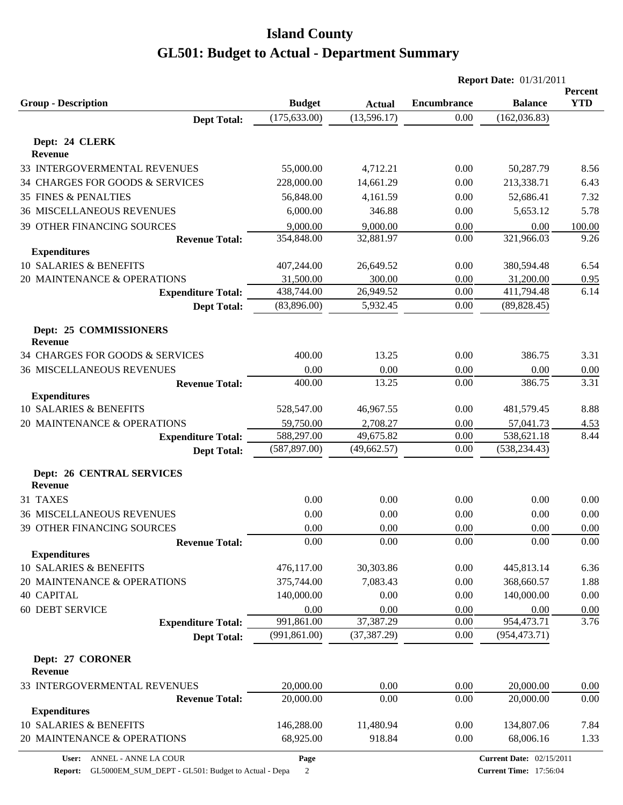|                                                    |               |               | <b>Report Date: 01/31/2011</b> |                                 |                       |
|----------------------------------------------------|---------------|---------------|--------------------------------|---------------------------------|-----------------------|
| <b>Group - Description</b>                         | <b>Budget</b> | <b>Actual</b> | <b>Encumbrance</b>             | <b>Balance</b>                  | Percent<br><b>YTD</b> |
| <b>Dept Total:</b>                                 | (175, 633.00) | (13, 596.17)  | 0.00                           | (162, 036.83)                   |                       |
|                                                    |               |               |                                |                                 |                       |
| Dept: 24 CLERK<br><b>Revenue</b>                   |               |               |                                |                                 |                       |
| 33 INTERGOVERMENTAL REVENUES                       | 55,000.00     | 4,712.21      | 0.00                           | 50,287.79                       | 8.56                  |
| 34 CHARGES FOR GOODS & SERVICES                    | 228,000.00    | 14,661.29     | 0.00                           | 213,338.71                      | 6.43                  |
| <b>35 FINES &amp; PENALTIES</b>                    | 56,848.00     | 4,161.59      | 0.00                           | 52,686.41                       | 7.32                  |
| <b>36 MISCELLANEOUS REVENUES</b>                   | 6,000.00      | 346.88        | 0.00                           | 5,653.12                        | 5.78                  |
| 39 OTHER FINANCING SOURCES                         | 9,000.00      | 9,000.00      | 0.00                           | 0.00                            | 100.00                |
| <b>Revenue Total:</b>                              | 354,848.00    | 32,881.97     | 0.00                           | 321,966.03                      | 9.26                  |
| <b>Expenditures</b>                                |               |               |                                |                                 |                       |
| 10 SALARIES & BENEFITS                             | 407,244.00    | 26,649.52     | 0.00                           | 380,594.48                      | 6.54                  |
| 20 MAINTENANCE & OPERATIONS                        | 31,500.00     | 300.00        | 0.00                           | 31,200.00                       | 0.95                  |
| <b>Expenditure Total:</b>                          | 438,744.00    | 26,949.52     | 0.00                           | 411,794.48                      | 6.14                  |
| <b>Dept Total:</b>                                 | (83,896.00)   | 5,932.45      | 0.00                           | (89, 828.45)                    |                       |
| Dept: 25 COMMISSIONERS<br><b>Revenue</b>           |               |               |                                |                                 |                       |
| 34 CHARGES FOR GOODS & SERVICES                    | 400.00        | 13.25         | 0.00                           | 386.75                          | 3.31                  |
| <b>36 MISCELLANEOUS REVENUES</b>                   | 0.00          | 0.00          | 0.00                           | 0.00                            | 0.00                  |
| <b>Revenue Total:</b>                              | 400.00        | 13.25         | 0.00                           | 386.75                          | 3.31                  |
| <b>Expenditures</b>                                |               |               |                                |                                 |                       |
| <b>10 SALARIES &amp; BENEFITS</b>                  | 528,547.00    | 46,967.55     | 0.00                           | 481,579.45                      | 8.88                  |
| 20 MAINTENANCE & OPERATIONS                        | 59,750.00     | 2,708.27      | 0.00                           | 57,041.73                       | 4.53                  |
| <b>Expenditure Total:</b>                          | 588,297.00    | 49,675.82     | 0.00                           | 538,621.18                      | 8.44                  |
| <b>Dept Total:</b>                                 | (587, 897.00) | (49, 662.57)  | 0.00                           | (538, 234.43)                   |                       |
|                                                    |               |               |                                |                                 |                       |
| <b>Dept: 26 CENTRAL SERVICES</b><br><b>Revenue</b> |               |               |                                |                                 |                       |
| 31 TAXES                                           | 0.00          | 0.00          | 0.00                           | 0.00                            | 0.00                  |
| <b>36 MISCELLANEOUS REVENUES</b>                   | 0.00          | 0.00          | 0.00                           | 0.00                            | 0.00                  |
| 39 OTHER FINANCING SOURCES                         | $0.00\,$      | $0.00\,$      | 0.00                           | 0.00                            | 0.00                  |
| <b>Revenue Total:</b>                              | 0.00          | 0.00          | 0.00                           | 0.00                            | 0.00                  |
| <b>Expenditures</b>                                |               |               |                                |                                 |                       |
| 10 SALARIES & BENEFITS                             | 476,117.00    | 30,303.86     | 0.00                           | 445,813.14                      | 6.36                  |
| 20 MAINTENANCE & OPERATIONS                        | 375,744.00    | 7,083.43      | 0.00                           | 368,660.57                      | 1.88                  |
| <b>40 CAPITAL</b>                                  | 140,000.00    | 0.00          | 0.00                           | 140,000.00                      | 0.00                  |
| 60 DEBT SERVICE                                    | 0.00          | 0.00          | 0.00                           | 0.00                            | 0.00                  |
| <b>Expenditure Total:</b>                          | 991,861.00    | 37,387.29     | 0.00                           | 954,473.71                      | 3.76                  |
| <b>Dept Total:</b>                                 | (991, 861.00) | (37, 387.29)  | 0.00                           | (954, 473.71)                   |                       |
| Dept: 27 CORONER<br><b>Revenue</b>                 |               |               |                                |                                 |                       |
| 33 INTERGOVERMENTAL REVENUES                       | 20,000.00     | 0.00          | 0.00                           | 20,000.00                       | 0.00                  |
| <b>Revenue Total:</b>                              | 20,000.00     | 0.00          | 0.00                           | 20,000.00                       | 0.00                  |
| <b>Expenditures</b>                                |               |               |                                |                                 |                       |
| 10 SALARIES & BENEFITS                             | 146,288.00    | 11,480.94     | 0.00                           | 134,807.06                      | 7.84                  |
| 20 MAINTENANCE & OPERATIONS                        | 68,925.00     | 918.84        | 0.00                           | 68,006.16                       | 1.33                  |
| ANNEL - ANNE LA COUR<br>User:                      | Page          |               |                                | <b>Current Date: 02/15/2011</b> |                       |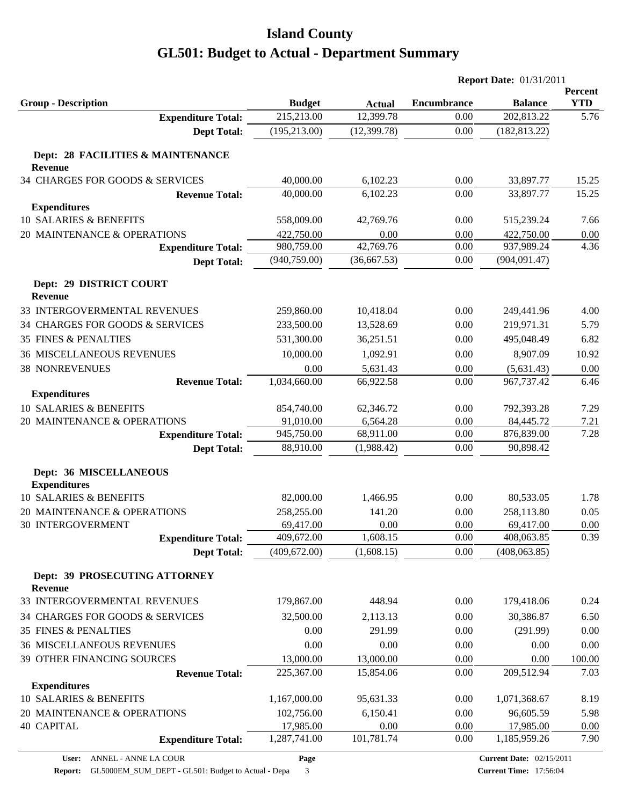|                                                     |               |               | <b>Report Date: 01/31/2011</b> |                |                       |
|-----------------------------------------------------|---------------|---------------|--------------------------------|----------------|-----------------------|
| <b>Group - Description</b>                          | <b>Budget</b> | <b>Actual</b> | <b>Encumbrance</b>             | <b>Balance</b> | Percent<br><b>YTD</b> |
| <b>Expenditure Total:</b>                           | 215,213.00    | 12,399.78     | 0.00                           | 202,813.22     | 5.76                  |
| <b>Dept Total:</b>                                  | (195, 213.00) | (12, 399.78)  | 0.00                           | (182, 813.22)  |                       |
| Dept: 28 FACILITIES & MAINTENANCE<br><b>Revenue</b> |               |               |                                |                |                       |
| 34 CHARGES FOR GOODS & SERVICES                     | 40,000.00     | 6,102.23      | 0.00                           | 33,897.77      | 15.25                 |
| <b>Revenue Total:</b>                               | 40,000.00     | 6,102.23      | 0.00                           | 33,897.77      | 15.25                 |
| <b>Expenditures</b>                                 |               |               |                                |                |                       |
| 10 SALARIES & BENEFITS                              | 558,009.00    | 42,769.76     | 0.00                           | 515,239.24     | 7.66                  |
| 20 MAINTENANCE & OPERATIONS                         | 422,750.00    | 0.00          | 0.00                           | 422,750.00     | 0.00                  |
| <b>Expenditure Total:</b>                           | 980,759.00    | 42,769.76     | 0.00                           | 937,989.24     | 4.36                  |
| <b>Dept Total:</b>                                  | (940, 759.00) | (36,667.53)   | 0.00                           | (904, 091.47)  |                       |
| Dept: 29 DISTRICT COURT<br><b>Revenue</b>           |               |               |                                |                |                       |
| 33 INTERGOVERMENTAL REVENUES                        | 259,860.00    | 10,418.04     | 0.00                           | 249,441.96     | 4.00                  |
| 34 CHARGES FOR GOODS & SERVICES                     | 233,500.00    | 13,528.69     | 0.00                           | 219,971.31     | 5.79                  |
| <b>35 FINES &amp; PENALTIES</b>                     | 531,300.00    | 36,251.51     | 0.00                           | 495,048.49     | 6.82                  |
| <b>36 MISCELLANEOUS REVENUES</b>                    | 10,000.00     | 1,092.91      | 0.00                           | 8,907.09       | 10.92                 |
| <b>38 NONREVENUES</b>                               | 0.00          | 5,631.43      | 0.00                           | (5,631.43)     | 0.00                  |
| <b>Revenue Total:</b>                               | 1,034,660.00  | 66,922.58     | 0.00                           | 967,737.42     | 6.46                  |
| <b>Expenditures</b>                                 |               |               |                                |                |                       |
| 10 SALARIES & BENEFITS                              | 854,740.00    | 62,346.72     | 0.00                           | 792,393.28     | 7.29                  |
| 20 MAINTENANCE & OPERATIONS                         | 91,010.00     | 6,564.28      | 0.00                           | 84,445.72      | 7.21                  |
| <b>Expenditure Total:</b>                           | 945,750.00    | 68,911.00     | 0.00                           | 876,839.00     | 7.28                  |
| <b>Dept Total:</b>                                  | 88,910.00     | (1,988.42)    | 0.00                           | 90,898.42      |                       |
| Dept: 36 MISCELLANEOUS<br><b>Expenditures</b>       |               |               |                                |                |                       |
| 10 SALARIES & BENEFITS                              | 82,000.00     | 1,466.95      | 0.00                           | 80,533.05      | 1.78                  |
| 20 MAINTENANCE & OPERATIONS                         | 258,255.00    | 141.20        | 0.00                           | 258,113.80     | 0.05                  |
| <b>30 INTERGOVERMENT</b>                            | 69,417.00     | 0.00          | 0.00                           | 69,417.00      | 0.00                  |
| <b>Expenditure Total:</b>                           | 409,672.00    | 1,608.15      | 0.00                           | 408,063.85     | 0.39                  |
| <b>Dept Total:</b>                                  | (409, 672.00) | (1,608.15)    | 0.00                           | (408, 063.85)  |                       |
| Dept: 39 PROSECUTING ATTORNEY<br><b>Revenue</b>     |               |               |                                |                |                       |
| 33 INTERGOVERMENTAL REVENUES                        | 179,867.00    | 448.94        | 0.00                           | 179,418.06     | 0.24                  |
| 34 CHARGES FOR GOODS & SERVICES                     | 32,500.00     | 2,113.13      | 0.00                           | 30,386.87      | 6.50                  |
| <b>35 FINES &amp; PENALTIES</b>                     | 0.00          | 291.99        | 0.00                           | (291.99)       | 0.00                  |
| <b>36 MISCELLANEOUS REVENUES</b>                    | 0.00          | 0.00          | 0.00                           | 0.00           | 0.00                  |
| 39 OTHER FINANCING SOURCES                          | 13,000.00     | 13,000.00     | 0.00                           | 0.00           | 100.00                |
| <b>Revenue Total:</b>                               | 225,367.00    | 15,854.06     | 0.00                           | 209,512.94     | 7.03                  |
| <b>Expenditures</b>                                 |               |               |                                |                |                       |
| 10 SALARIES & BENEFITS                              | 1,167,000.00  | 95,631.33     | 0.00                           | 1,071,368.67   | 8.19                  |
| 20 MAINTENANCE & OPERATIONS                         | 102,756.00    | 6,150.41      | 0.00                           | 96,605.59      | 5.98                  |
| <b>40 CAPITAL</b>                                   | 17,985.00     | 0.00          | 0.00                           | 17,985.00      | $0.00\,$              |
| <b>Expenditure Total:</b>                           | 1,287,741.00  | 101,781.74    | 0.00                           | 1,185,959.26   | 7.90                  |

**Page**

**Report:** GL5000EM\_SUM\_DEPT - GL501: Budget to Actual - Depa 3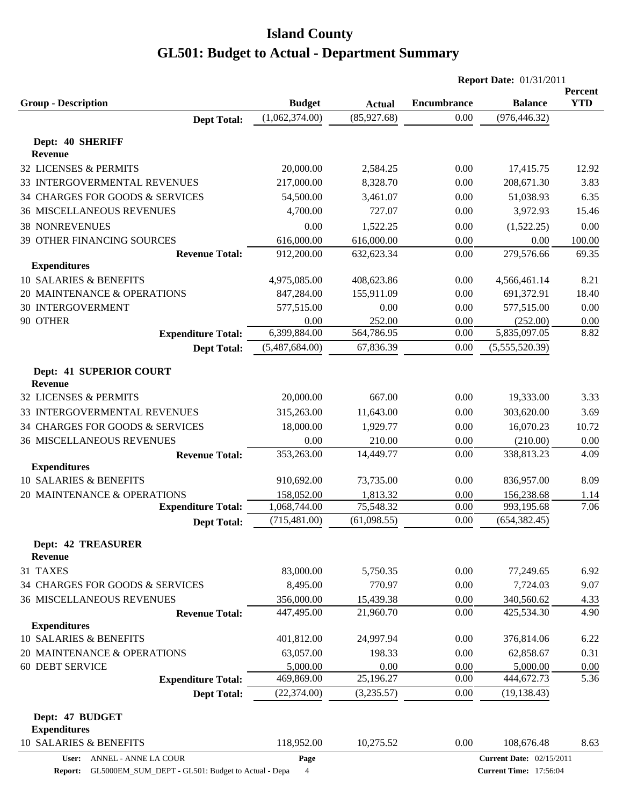|                                           |                |               |                    | <b>Report Date: 01/31/2011</b>  |                       |
|-------------------------------------------|----------------|---------------|--------------------|---------------------------------|-----------------------|
| <b>Group - Description</b>                | <b>Budget</b>  | <b>Actual</b> | <b>Encumbrance</b> | <b>Balance</b>                  | Percent<br><b>YTD</b> |
| <b>Dept Total:</b>                        | (1,062,374.00) | (85, 927.68)  | 0.00               | (976, 446.32)                   |                       |
|                                           |                |               |                    |                                 |                       |
| Dept: 40 SHERIFF                          |                |               |                    |                                 |                       |
| <b>Revenue</b>                            |                |               |                    |                                 |                       |
| 32 LICENSES & PERMITS                     | 20,000.00      | 2,584.25      | 0.00               | 17,415.75                       | 12.92                 |
| 33 INTERGOVERMENTAL REVENUES              | 217,000.00     | 8,328.70      | 0.00               | 208,671.30                      | 3.83                  |
| 34 CHARGES FOR GOODS & SERVICES           | 54,500.00      | 3,461.07      | 0.00               | 51,038.93                       | 6.35                  |
| <b>36 MISCELLANEOUS REVENUES</b>          | 4,700.00       | 727.07        | 0.00               | 3,972.93                        | 15.46                 |
| <b>38 NONREVENUES</b>                     | 0.00           | 1,522.25      | 0.00               | (1,522.25)                      | 0.00                  |
| 39 OTHER FINANCING SOURCES                | 616,000.00     | 616,000.00    | 0.00               | 0.00                            | 100.00                |
| <b>Revenue Total:</b>                     | 912,200.00     | 632,623.34    | 0.00               | 279,576.66                      | 69.35                 |
| <b>Expenditures</b>                       |                |               |                    |                                 |                       |
| 10 SALARIES & BENEFITS                    | 4,975,085.00   | 408,623.86    | 0.00               | 4,566,461.14                    | 8.21                  |
| 20 MAINTENANCE & OPERATIONS               | 847,284.00     | 155,911.09    | 0.00               | 691,372.91                      | 18.40                 |
| <b>30 INTERGOVERMENT</b>                  | 577,515.00     | 0.00          | 0.00               | 577,515.00                      | 0.00                  |
| 90 OTHER                                  | 0.00           | 252.00        | 0.00               | (252.00)                        | 0.00                  |
| <b>Expenditure Total:</b>                 | 6,399,884.00   | 564,786.95    | 0.00               | 5,835,097.05                    | 8.82                  |
| <b>Dept Total:</b>                        | (5,487,684.00) | 67,836.39     | 0.00               | (5,555,520.39)                  |                       |
| <b>Dept: 41 SUPERIOR COURT</b><br>Revenue |                |               |                    |                                 |                       |
| 32 LICENSES & PERMITS                     | 20,000.00      | 667.00        | 0.00               | 19,333.00                       | 3.33                  |
| 33 INTERGOVERMENTAL REVENUES              | 315,263.00     | 11,643.00     | 0.00               | 303,620.00                      | 3.69                  |
| 34 CHARGES FOR GOODS & SERVICES           | 18,000.00      | 1,929.77      | 0.00               | 16,070.23                       | 10.72                 |
| <b>36 MISCELLANEOUS REVENUES</b>          | 0.00           | 210.00        | 0.00               | (210.00)                        | 0.00                  |
| <b>Revenue Total:</b>                     | 353,263.00     | 14,449.77     | 0.00               | 338,813.23                      | 4.09                  |
| <b>Expenditures</b>                       |                |               |                    |                                 |                       |
| 10 SALARIES & BENEFITS                    | 910,692.00     | 73,735.00     | 0.00               | 836,957.00                      | 8.09                  |
| 20 MAINTENANCE & OPERATIONS               | 158,052.00     | 1,813.32      | 0.00               | 156,238.68                      | 1.14                  |
| <b>Expenditure Total:</b>                 | 1,068,744.00   | 75,548.32     | 0.00               | 993,195.68                      | 7.06                  |
| <b>Dept Total:</b>                        | (715, 481.00)  | (61,098.55)   | 0.00               | (654, 382.45)                   |                       |
| <b>Dept: 42 TREASURER</b>                 |                |               |                    |                                 |                       |
| Revenue                                   |                |               |                    |                                 |                       |
| 31 TAXES                                  | 83,000.00      | 5,750.35      | 0.00               | 77,249.65                       | 6.92                  |
| 34 CHARGES FOR GOODS & SERVICES           | 8,495.00       | 770.97        | 0.00               | 7,724.03                        | 9.07                  |
| <b>36 MISCELLANEOUS REVENUES</b>          | 356,000.00     | 15,439.38     | 0.00               | 340,560.62                      | 4.33                  |
| <b>Revenue Total:</b>                     | 447,495.00     | 21,960.70     | 0.00               | 425,534.30                      | 4.90                  |
| <b>Expenditures</b>                       |                |               |                    |                                 |                       |
| 10 SALARIES & BENEFITS                    | 401,812.00     | 24,997.94     | 0.00               | 376,814.06                      | 6.22                  |
| 20 MAINTENANCE & OPERATIONS               | 63,057.00      | 198.33        | 0.00               | 62,858.67                       | 0.31                  |
| <b>60 DEBT SERVICE</b>                    | 5,000.00       | 0.00          | 0.00               | 5,000.00                        | 0.00                  |
| <b>Expenditure Total:</b>                 | 469,869.00     | 25,196.27     | 0.00               | 444,672.73                      | 5.36                  |
| <b>Dept Total:</b>                        | (22, 374.00)   | (3,235.57)    | 0.00               | (19, 138.43)                    |                       |
|                                           |                |               |                    |                                 |                       |
| Dept: 47 BUDGET                           |                |               |                    |                                 |                       |
| <b>Expenditures</b>                       |                |               |                    |                                 |                       |
| <b>10 SALARIES &amp; BENEFITS</b>         | 118,952.00     | 10,275.52     | 0.00               | 108,676.48                      | 8.63                  |
| ANNEL - ANNE LA COUR<br>User:             | Page           |               |                    | <b>Current Date: 02/15/2011</b> |                       |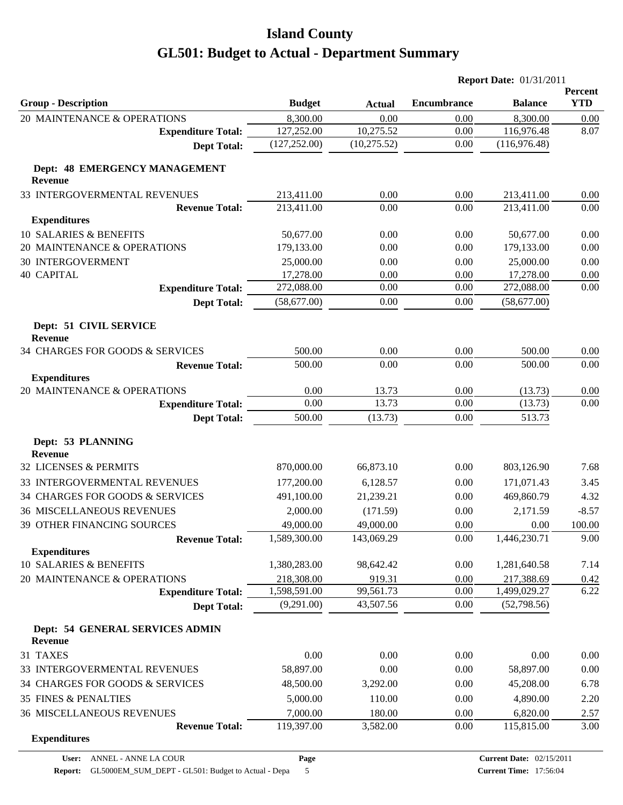|                                                           |                        |               | <b>Report Date: 01/31/2011</b> |                        |                       |
|-----------------------------------------------------------|------------------------|---------------|--------------------------------|------------------------|-----------------------|
| <b>Group - Description</b>                                | <b>Budget</b>          | <b>Actual</b> | <b>Encumbrance</b>             | <b>Balance</b>         | Percent<br><b>YTD</b> |
| 20 MAINTENANCE & OPERATIONS                               | 8,300.00               | 0.00          | 0.00                           | 8,300.00               | 0.00                  |
| <b>Expenditure Total:</b>                                 | 127,252.00             | 10,275.52     | 0.00                           | 116,976.48             | 8.07                  |
| <b>Dept Total:</b>                                        | (127, 252.00)          | (10, 275.52)  | 0.00                           | (116,976.48)           |                       |
| Dept: 48 EMERGENCY MANAGEMENT<br><b>Revenue</b>           |                        |               |                                |                        |                       |
| 33 INTERGOVERMENTAL REVENUES                              | 213,411.00             | 0.00          | 0.00                           | 213,411.00             | 0.00                  |
| <b>Revenue Total:</b>                                     | 213,411.00             | 0.00          | 0.00                           | 213,411.00             | 0.00                  |
| <b>Expenditures</b>                                       |                        |               |                                |                        |                       |
| 10 SALARIES & BENEFITS                                    | 50,677.00              | 0.00          | 0.00                           | 50,677.00              | 0.00                  |
| 20 MAINTENANCE & OPERATIONS                               | 179,133.00             | 0.00          | 0.00                           | 179,133.00             | 0.00                  |
| <b>30 INTERGOVERMENT</b>                                  | 25,000.00              | 0.00          | 0.00                           | 25,000.00              | 0.00                  |
| <b>40 CAPITAL</b>                                         | 17,278.00              | 0.00          | 0.00                           | 17,278.00              | 0.00                  |
| <b>Expenditure Total:</b>                                 | 272,088.00             | 0.00          | 0.00                           | 272,088.00             | 0.00                  |
| <b>Dept Total:</b>                                        | (58,677.00)            | 0.00          | 0.00                           | (58,677.00)            |                       |
| Dept: 51 CIVIL SERVICE<br><b>Revenue</b>                  |                        |               |                                |                        |                       |
| 34 CHARGES FOR GOODS & SERVICES                           | 500.00                 | 0.00          | 0.00                           | 500.00                 | 0.00                  |
| <b>Revenue Total:</b>                                     | 500.00                 | 0.00          | 0.00                           | 500.00                 | 0.00                  |
| <b>Expenditures</b>                                       |                        |               |                                |                        |                       |
| 20 MAINTENANCE & OPERATIONS                               | 0.00                   | 13.73         | 0.00                           | (13.73)                | 0.00                  |
| <b>Expenditure Total:</b>                                 | 0.00                   | 13.73         | 0.00                           | (13.73)                | 0.00                  |
| <b>Dept Total:</b>                                        | 500.00                 | (13.73)       | 0.00                           | 513.73                 |                       |
| Dept: 53 PLANNING<br><b>Revenue</b>                       |                        |               |                                |                        |                       |
| 32 LICENSES & PERMITS                                     | 870,000.00             | 66,873.10     | 0.00                           | 803,126.90             | 7.68                  |
| 33 INTERGOVERMENTAL REVENUES                              | 177,200.00             | 6,128.57      | 0.00                           | 171,071.43             | 3.45                  |
| 34 CHARGES FOR GOODS & SERVICES                           | 491,100.00             | 21,239.21     | 0.00                           | 469,860.79             | 4.32                  |
| <b>36 MISCELLANEOUS REVENUES</b>                          | 2,000.00               | (171.59)      | 0.00                           | 2,171.59               | $-8.57$               |
| 39 OTHER FINANCING SOURCES                                | 49,000.00              | 49,000.00     | 0.00                           | 0.00                   | 100.00                |
| <b>Revenue Total:</b>                                     | 1,589,300.00           | 143,069.29    | 0.00                           | 1,446,230.71           | 9.00                  |
| <b>Expenditures</b>                                       |                        |               |                                |                        |                       |
| 10 SALARIES & BENEFITS                                    | 1,380,283.00           | 98,642.42     | 0.00                           | 1,281,640.58           | 7.14                  |
| 20 MAINTENANCE & OPERATIONS                               | 218,308.00             | 919.31        | 0.00                           | 217,388.69             | 0.42                  |
| <b>Expenditure Total:</b>                                 | 1,598,591.00           | 99,561.73     | 0.00                           | 1,499,029.27           | 6.22                  |
| <b>Dept Total:</b>                                        | (9,291.00)             | 43,507.56     | 0.00                           | (52,798.56)            |                       |
| Dept: 54 GENERAL SERVICES ADMIN<br><b>Revenue</b>         |                        |               |                                |                        |                       |
| 31 TAXES                                                  | 0.00                   | 0.00          | 0.00                           | 0.00                   | 0.00                  |
| 33 INTERGOVERMENTAL REVENUES                              | 58,897.00              | 0.00          | 0.00                           | 58,897.00              | 0.00                  |
| 34 CHARGES FOR GOODS & SERVICES                           | 48,500.00              | 3,292.00      | 0.00                           | 45,208.00              | 6.78                  |
| 35 FINES & PENALTIES                                      |                        | 110.00        | 0.00                           |                        |                       |
|                                                           | 5,000.00               | 180.00        | 0.00                           | 4,890.00               | 2.20                  |
| <b>36 MISCELLANEOUS REVENUES</b><br><b>Revenue Total:</b> | 7,000.00<br>119,397.00 | 3,582.00      | 0.00                           | 6,820.00<br>115,815.00 | 2.57<br>3.00          |
| <b>Expenditures</b>                                       |                        |               |                                |                        |                       |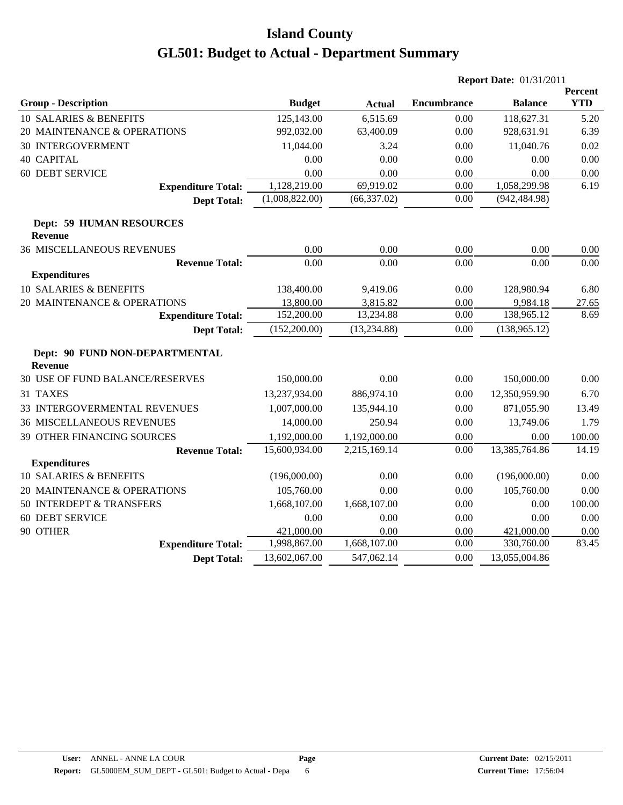|                                                   |                |               |                    | <b>Report Date: 01/31/2011</b> |                       |
|---------------------------------------------------|----------------|---------------|--------------------|--------------------------------|-----------------------|
| <b>Group - Description</b>                        | <b>Budget</b>  | <b>Actual</b> | <b>Encumbrance</b> | <b>Balance</b>                 | Percent<br><b>YTD</b> |
| 10 SALARIES & BENEFITS                            | 125,143.00     | 6,515.69      | 0.00               | 118,627.31                     | 5.20                  |
| 20 MAINTENANCE & OPERATIONS                       | 992,032.00     | 63,400.09     | 0.00               | 928,631.91                     | 6.39                  |
| 30 INTERGOVERMENT                                 | 11,044.00      | 3.24          | 0.00               | 11,040.76                      | 0.02                  |
| <b>40 CAPITAL</b>                                 | 0.00           | 0.00          | 0.00               | 0.00                           | 0.00                  |
| 60 DEBT SERVICE                                   | 0.00           | 0.00          | 0.00               | 0.00                           | 0.00                  |
| <b>Expenditure Total:</b>                         | 1,128,219.00   | 69,919.02     | 0.00               | 1,058,299.98                   | 6.19                  |
| <b>Dept Total:</b>                                | (1,008,822.00) | (66, 337.02)  | 0.00               | (942, 484.98)                  |                       |
| <b>Dept: 59 HUMAN RESOURCES</b><br><b>Revenue</b> |                |               |                    |                                |                       |
| <b>36 MISCELLANEOUS REVENUES</b>                  | 0.00           | 0.00          | 0.00               | 0.00                           | 0.00                  |
| <b>Revenue Total:</b>                             | 0.00           | 0.00          | 0.00               | 0.00                           | 0.00                  |
| <b>Expenditures</b>                               |                |               |                    |                                |                       |
| 10 SALARIES & BENEFITS                            | 138,400.00     | 9,419.06      | 0.00               | 128,980.94                     | 6.80                  |
| 20 MAINTENANCE & OPERATIONS                       | 13,800.00      | 3,815.82      | 0.00               | 9,984.18                       | 27.65                 |
| <b>Expenditure Total:</b>                         | 152,200.00     | 13,234.88     | 0.00               | 138,965.12                     | 8.69                  |
| <b>Dept Total:</b>                                | (152,200.00)   | (13, 234.88)  | 0.00               | (138, 965.12)                  |                       |
| Dept: 90 FUND NON-DEPARTMENTAL<br>Revenue         |                |               |                    |                                |                       |
| 30 USE OF FUND BALANCE/RESERVES                   | 150,000.00     | 0.00          | 0.00               | 150,000.00                     | 0.00                  |
| 31 TAXES                                          | 13,237,934.00  | 886,974.10    | 0.00               | 12,350,959.90                  | 6.70                  |
| 33 INTERGOVERMENTAL REVENUES                      | 1,007,000.00   | 135,944.10    | 0.00               | 871,055.90                     | 13.49                 |
| <b>36 MISCELLANEOUS REVENUES</b>                  | 14,000.00      | 250.94        | 0.00               | 13,749.06                      | 1.79                  |
| 39 OTHER FINANCING SOURCES                        | 1,192,000.00   | 1,192,000.00  | 0.00               | 0.00                           | 100.00                |
| <b>Revenue Total:</b>                             | 15,600,934.00  | 2,215,169.14  | 0.00               | 13,385,764.86                  | 14.19                 |
| <b>Expenditures</b>                               |                |               |                    |                                |                       |
| 10 SALARIES & BENEFITS                            | (196,000.00)   | 0.00          | 0.00               | (196,000.00)                   | 0.00                  |
| 20 MAINTENANCE & OPERATIONS                       | 105,760.00     | 0.00          | 0.00               | 105,760.00                     | 0.00                  |
| 50 INTERDEPT & TRANSFERS                          | 1,668,107.00   | 1,668,107.00  | 0.00               | 0.00                           | 100.00                |
| <b>60 DEBT SERVICE</b>                            | 0.00           | 0.00          | 0.00               | 0.00                           | 0.00                  |
| 90 OTHER                                          | 421,000.00     | 0.00          | $0.00\,$           | 421,000.00                     | 0.00                  |
| <b>Expenditure Total:</b>                         | 1,998,867.00   | 1,668,107.00  | 0.00               | 330,760.00                     | 83.45                 |
| <b>Dept Total:</b>                                | 13,602,067.00  | 547,062.14    | 0.00               | 13,055,004.86                  |                       |
|                                                   |                |               |                    |                                |                       |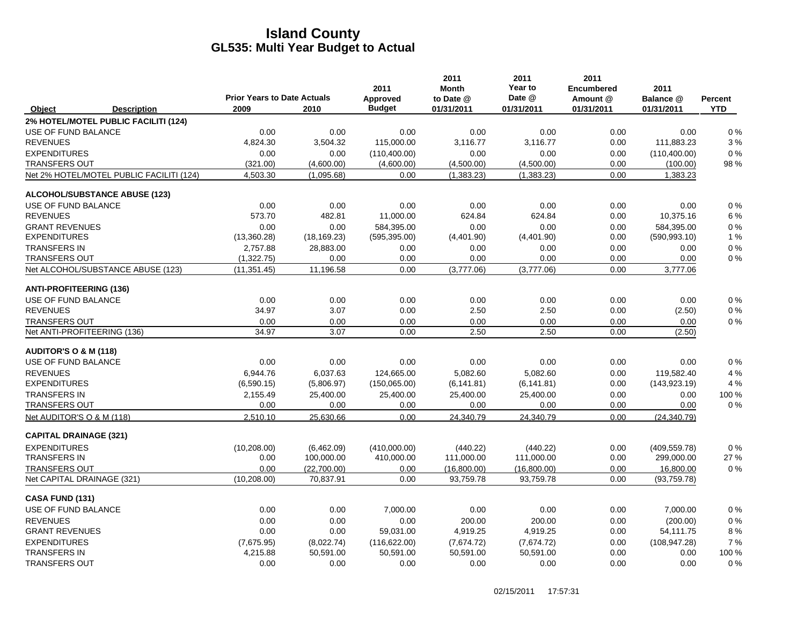|                                  |                                          |                                            |              | 2011                      | 2011<br><b>Month</b>    | 2011<br>Year to      | 2011<br><b>Encumbered</b> | 2011                    |                       |
|----------------------------------|------------------------------------------|--------------------------------------------|--------------|---------------------------|-------------------------|----------------------|---------------------------|-------------------------|-----------------------|
| Object                           | <b>Description</b>                       | <b>Prior Years to Date Actuals</b><br>2009 | 2010         | Approved<br><b>Budget</b> | to Date @<br>01/31/2011 | Date @<br>01/31/2011 | Amount @<br>01/31/2011    | Balance @<br>01/31/2011 | Percent<br><b>YTD</b> |
|                                  | 2% HOTEL/MOTEL PUBLIC FACILITI (124)     |                                            |              |                           |                         |                      |                           |                         |                       |
| USE OF FUND BALANCE              |                                          | 0.00                                       | 0.00         | 0.00                      | 0.00                    | 0.00                 | 0.00                      | 0.00                    | 0%                    |
| <b>REVENUES</b>                  |                                          | 4,824.30                                   | 3,504.32     | 115,000.00                | 3,116.77                | 3,116.77             | 0.00                      | 111,883.23              | 3%                    |
| <b>EXPENDITURES</b>              |                                          | 0.00                                       | 0.00         | (110, 400.00)             | 0.00                    | 0.00                 | 0.00                      | (110, 400.00)           | 0%                    |
| <b>TRANSFERS OUT</b>             |                                          | (321.00)                                   | (4,600.00)   | (4,600.00)                | (4,500.00)              | (4,500.00)           | 0.00                      | (100.00)                | 98 %                  |
|                                  | Net 2% HOTEL/MOTEL PUBLIC FACILITI (124) | 4,503.30                                   | (1,095.68)   | 0.00                      | (1,383.23)              | (1,383.23)           | 0.00                      | 1,383.23                |                       |
|                                  | ALCOHOL/SUBSTANCE ABUSE (123)            |                                            |              |                           |                         |                      |                           |                         |                       |
| USE OF FUND BALANCE              |                                          | 0.00                                       | 0.00         | 0.00                      | 0.00                    | 0.00                 | 0.00                      | 0.00                    | 0%                    |
| <b>REVENUES</b>                  |                                          | 573.70                                     | 482.81       | 11,000.00                 | 624.84                  | 624.84               | 0.00                      | 10,375.16               | 6 %                   |
| <b>GRANT REVENUES</b>            |                                          | 0.00                                       | 0.00         | 584,395.00                | 0.00                    | 0.00                 | 0.00                      | 584,395.00              | 0%                    |
| <b>EXPENDITURES</b>              |                                          | (13,360.28)                                | (18, 169.23) | (595, 395.00)             | (4,401.90)              | (4,401.90)           | 0.00                      | (590, 993.10)           | 1 %                   |
| <b>TRANSFERS IN</b>              |                                          | 2.757.88                                   | 28,883.00    | 0.00                      | 0.00                    | 0.00                 | 0.00                      | 0.00                    | $0\%$                 |
| <b>TRANSFERS OUT</b>             |                                          | (1,322.75)                                 | 0.00         | 0.00                      | 0.00                    | 0.00                 | 0.00                      | 0.00                    | 0%                    |
|                                  | Net ALCOHOL/SUBSTANCE ABUSE (123)        | (11, 351.45)                               | 11,196.58    | 0.00                      | (3,777.06)              | (3,777.06)           | 0.00                      | 3,777.06                |                       |
| <b>ANTI-PROFITEERING (136)</b>   |                                          |                                            |              |                           |                         |                      |                           |                         |                       |
| USE OF FUND BALANCE              |                                          | 0.00                                       | 0.00         | 0.00                      | 0.00                    | 0.00                 | 0.00                      | 0.00                    | $0\%$                 |
| <b>REVENUES</b>                  |                                          | 34.97                                      | 3.07         | 0.00                      | 2.50                    | 2.50                 | 0.00                      | (2.50)                  | $0\%$                 |
| <b>TRANSFERS OUT</b>             |                                          | 0.00                                       | 0.00         | 0.00                      | 0.00                    | 0.00                 | 0.00                      | 0.00                    | 0%                    |
| Net ANTI-PROFITEERING (136)      |                                          | 34.97                                      | 3.07         | 0.00                      | 2.50                    | 2.50                 | 0.00                      | (2.50)                  |                       |
| <b>AUDITOR'S O &amp; M (118)</b> |                                          |                                            |              |                           |                         |                      |                           |                         |                       |
| USE OF FUND BALANCE              |                                          | 0.00                                       | 0.00         | 0.00                      | 0.00                    | 0.00                 | 0.00                      | 0.00                    | $0\%$                 |
| <b>REVENUES</b>                  |                                          | 6.944.76                                   | 6,037.63     | 124,665.00                | 5,082.60                | 5,082.60             | 0.00                      | 119,582.40              | 4 %                   |
| <b>EXPENDITURES</b>              |                                          | (6,590.15)                                 | (5,806.97)   | (150,065.00)              | (6, 141.81)             | (6, 141.81)          | 0.00                      | (143, 923.19)           | 4 %                   |
| <b>TRANSFERS IN</b>              |                                          | 2,155.49                                   | 25,400.00    | 25,400.00                 | 25,400.00               | 25,400.00            | 0.00                      | 0.00                    | 100 %                 |
| <b>TRANSFERS OUT</b>             |                                          | 0.00                                       | 0.00         | 0.00                      | 0.00                    | 0.00                 | 0.00                      | 0.00                    | 0%                    |
| Net AUDITOR'S O & M (118)        |                                          | 2.510.10                                   | 25,630.66    | 0.00                      | 24.340.79               | 24.340.79            | 0.00                      | (24, 340.79)            |                       |
| <b>CAPITAL DRAINAGE (321)</b>    |                                          |                                            |              |                           |                         |                      |                           |                         |                       |
| <b>EXPENDITURES</b>              |                                          | (10, 208.00)                               | (6,462.09)   | (410,000.00)              | (440.22)                | (440.22)             | 0.00                      | (409, 559.78)           | 0%                    |
| <b>TRANSFERS IN</b>              |                                          | 0.00                                       | 100,000.00   | 410,000.00                | 111,000.00              | 111,000.00           | 0.00                      | 299,000.00              | 27 %                  |
| <b>TRANSFERS OUT</b>             |                                          | 0.00                                       | (22.700.00)  | 0.00                      | (16,800.00)             | (16,800.00)          | 0.00                      | 16.800.00               | 0%                    |
| Net CAPITAL DRAINAGE (321)       |                                          | (10, 208.00)                               | 70,837.91    | 0.00                      | 93,759.78               | 93,759.78            | 0.00                      | (93,759.78)             |                       |
| CASA FUND (131)                  |                                          |                                            |              |                           |                         |                      |                           |                         |                       |
| USE OF FUND BALANCE              |                                          | 0.00                                       | 0.00         | 7,000.00                  | 0.00                    | 0.00                 | 0.00                      | 7,000.00                | 0%                    |
| <b>REVENUES</b>                  |                                          | 0.00                                       | 0.00         | 0.00                      | 200.00                  | 200.00               | 0.00                      | (200.00)                | $0\%$                 |
| <b>GRANT REVENUES</b>            |                                          | 0.00                                       | 0.00         | 59,031.00                 | 4,919.25                | 4,919.25             | 0.00                      | 54,111.75               | 8%                    |
| <b>EXPENDITURES</b>              |                                          | (7,675.95)                                 | (8,022.74)   | (116, 622.00)             | (7,674.72)              | (7,674.72)           | 0.00                      | (108, 947.28)           | 7%                    |
| <b>TRANSFERS IN</b>              |                                          | 4,215.88                                   | 50,591.00    | 50,591.00                 | 50,591.00               | 50,591.00            | 0.00                      | 0.00                    | 100 %                 |
| <b>TRANSFERS OUT</b>             |                                          | 0.00                                       | 0.00         | 0.00                      | 0.00                    | 0.00                 | 0.00                      | 0.00                    | 0%                    |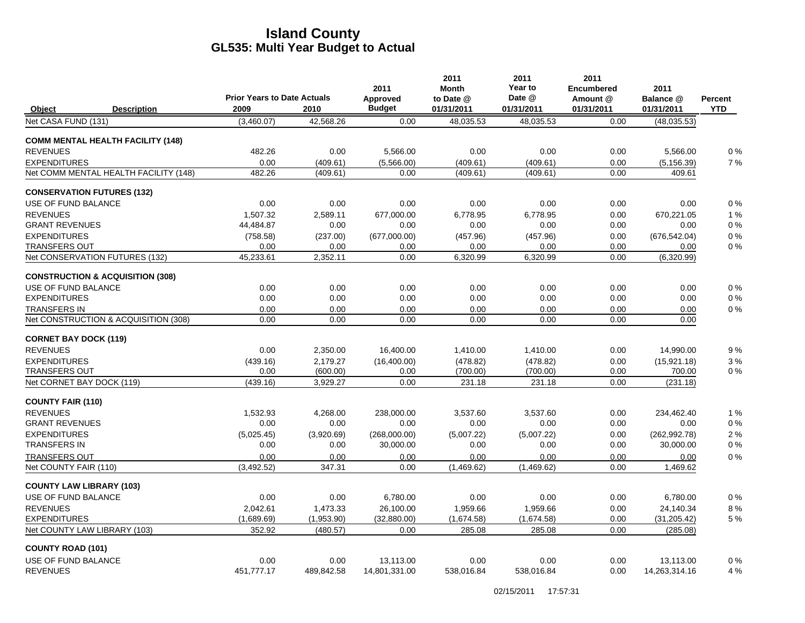|                                             | <b>Prior Years to Date Actuals</b> |            | 2011<br>Approved | 2011<br><b>Month</b><br>to Date @ | 2011<br>Year to<br>Date @ | 2011<br><b>Encumbered</b><br>Amount @ | 2011<br>Balance @ | <b>Percent</b> |
|---------------------------------------------|------------------------------------|------------|------------------|-----------------------------------|---------------------------|---------------------------------------|-------------------|----------------|
| Object<br><b>Description</b>                | 2009                               | 2010       | <b>Budget</b>    | 01/31/2011                        | 01/31/2011                | 01/31/2011                            | 01/31/2011        | <b>YTD</b>     |
| Net CASA FUND (131)                         | (3,460.07)                         | 42,568.26  | 0.00             | 48,035.53                         | 48,035.53                 | 0.00                                  | (48, 035.53)      |                |
| <b>COMM MENTAL HEALTH FACILITY (148)</b>    |                                    |            |                  |                                   |                           |                                       |                   |                |
| <b>REVENUES</b>                             | 482.26                             | 0.00       | 5,566.00         | 0.00                              | 0.00                      | 0.00                                  | 5,566.00          | 0%             |
| <b>EXPENDITURES</b>                         | 0.00                               | (409.61)   | (5,566.00)       | (409.61)                          | (409.61)                  | 0.00                                  | (5, 156.39)       | 7%             |
| Net COMM MENTAL HEALTH FACILITY (148)       | 482.26                             | (409.61)   | 0.00             | (409.61)                          | (409.61)                  | 0.00                                  | 409.61            |                |
| <b>CONSERVATION FUTURES (132)</b>           |                                    |            |                  |                                   |                           |                                       |                   |                |
| USE OF FUND BALANCE                         | 0.00                               | 0.00       | 0.00             | 0.00                              | 0.00                      | 0.00                                  | 0.00              | 0%             |
| <b>REVENUES</b>                             | 1.507.32                           | 2.589.11   | 677.000.00       | 6.778.95                          | 6.778.95                  | 0.00                                  | 670.221.05        | 1%             |
| <b>GRANT REVENUES</b>                       | 44,484.87                          | 0.00       | 0.00             | 0.00                              | 0.00                      | 0.00                                  | 0.00              | 0%             |
| <b>EXPENDITURES</b>                         | (758.58)                           | (237.00)   | (677,000.00)     | (457.96)                          | (457.96)                  | 0.00                                  | (676, 542.04)     | 0%             |
| <b>TRANSFERS OUT</b>                        | 0.00                               | 0.00       | 0.00             | 0.00                              | 0.00                      | 0.00                                  | 0.00              | 0%             |
| Net CONSERVATION FUTURES (132)              | 45,233.61                          | 2,352.11   | 0.00             | 6,320.99                          | 6,320.99                  | 0.00                                  | (6,320.99)        |                |
| <b>CONSTRUCTION &amp; ACQUISITION (308)</b> |                                    |            |                  |                                   |                           |                                       |                   |                |
| USE OF FUND BALANCE                         | 0.00                               | 0.00       | 0.00             | 0.00                              | 0.00                      | 0.00                                  | 0.00              | 0%             |
| <b>EXPENDITURES</b>                         | 0.00                               | 0.00       | 0.00             | 0.00                              | 0.00                      | 0.00                                  | 0.00              | $0\%$          |
| <b>TRANSFERS IN</b>                         | 0.00                               | 0.00       | 0.00             | 0.00                              | 0.00                      | 0.00                                  | 0.00              | $0\%$          |
| Net CONSTRUCTION & ACQUISITION (308)        | 0.00                               | 0.00       | 0.00             | 0.00                              | 0.00                      | 0.00                                  | 0.00              |                |
| <b>CORNET BAY DOCK (119)</b>                |                                    |            |                  |                                   |                           |                                       |                   |                |
| <b>REVENUES</b>                             | 0.00                               | 2,350.00   | 16,400.00        | 1,410.00                          | 1,410.00                  | 0.00                                  | 14,990.00         | 9%             |
| <b>EXPENDITURES</b>                         | (439.16)                           | 2,179.27   | (16,400.00)      | (478.82)                          | (478.82)                  | 0.00                                  | (15,921.18)       | 3%             |
| <b>TRANSFERS OUT</b>                        | 0.00                               | (600.00)   | 0.00             | (700.00)                          | (700.00)                  | 0.00                                  | 700.00            | 0%             |
| Net CORNET BAY DOCK (119)                   | (439.16)                           | 3,929.27   | 0.00             | 231.18                            | 231.18                    | 0.00                                  | (231.18)          |                |
| <b>COUNTY FAIR (110)</b>                    |                                    |            |                  |                                   |                           |                                       |                   |                |
| <b>REVENUES</b>                             | 1,532.93                           | 4,268.00   | 238.000.00       | 3,537.60                          | 3.537.60                  | 0.00                                  | 234.462.40        | 1%             |
| <b>GRANT REVENUES</b>                       | 0.00                               | 0.00       | 0.00             | 0.00                              | 0.00                      | 0.00                                  | 0.00              | 0%             |
| <b>EXPENDITURES</b>                         | (5,025.45)                         | (3,920.69) | (268,000.00)     | (5,007.22)                        | (5,007.22)                | 0.00                                  | (262, 992.78)     | 2%             |
| <b>TRANSFERS IN</b>                         | 0.00                               | 0.00       | 30,000.00        | 0.00                              | 0.00                      | 0.00                                  | 30,000.00         | 0%             |
| <b>TRANSFERS OUT</b>                        | 0.00                               | 0.00       | 0.00             | 0.00                              | 0.00                      | 0.00                                  | 0.00              | 0%             |
| Net COUNTY FAIR (110)                       | (3,492.52)                         | 347.31     | 0.00             | (1,469.62)                        | (1,469.62)                | 0.00                                  | 1,469.62          |                |
| <b>COUNTY LAW LIBRARY (103)</b>             |                                    |            |                  |                                   |                           |                                       |                   |                |
| USE OF FUND BALANCE                         | 0.00                               | 0.00       | 6,780.00         | 0.00                              | 0.00                      | 0.00                                  | 6,780.00          | 0%             |
| <b>REVENUES</b>                             | 2.042.61                           | 1.473.33   | 26.100.00        | 1.959.66                          | 1.959.66                  | 0.00                                  | 24.140.34         | 8%             |
| <b>EXPENDITURES</b>                         | (1,689.69)                         | (1,953.90) | (32,880.00)      | (1,674.58)                        | (1,674.58)                | 0.00                                  | (31, 205.42)      | 5 %            |
| Net COUNTY LAW LIBRARY (103)                | 352.92                             | (480.57)   | 0.00             | 285.08                            | 285.08                    | 0.00                                  | (285.08)          |                |
| <b>COUNTY ROAD (101)</b>                    |                                    |            |                  |                                   |                           |                                       |                   |                |
| USE OF FUND BALANCE                         | 0.00                               | 0.00       | 13,113.00        | 0.00                              | 0.00                      | 0.00                                  | 13,113.00         | 0%             |
| <b>REVENUES</b>                             | 451.777.17                         | 489.842.58 | 14,801,331.00    | 538.016.84                        | 538.016.84                | 0.00                                  | 14,263,314.16     | 4 %            |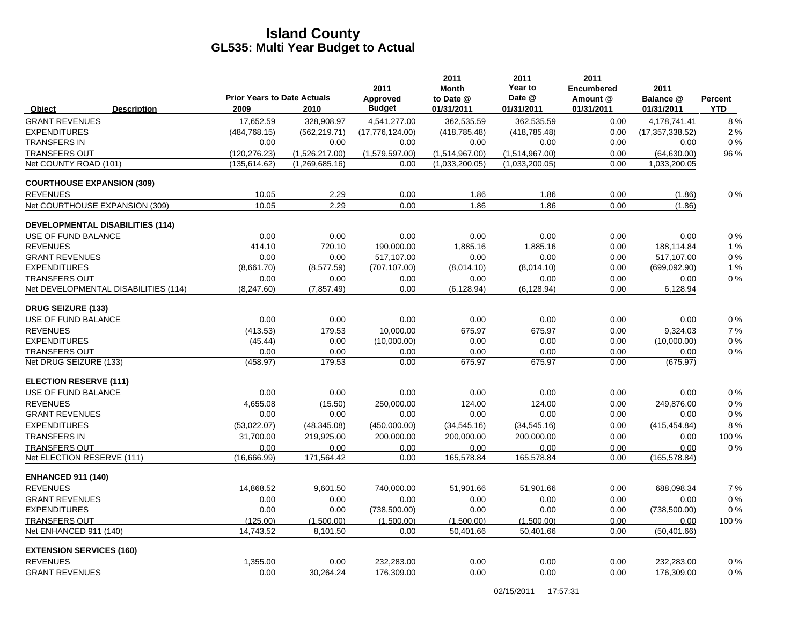|                                                |                    | <b>Prior Years to Date Actuals</b> |                    | 2011<br>Approved   | 2011<br><b>Month</b><br>to Date @ | 2011<br>Year to<br>Date @ | 2011<br><b>Encumbered</b><br>Amount @ | 2011<br>Balance @     | Percent     |
|------------------------------------------------|--------------------|------------------------------------|--------------------|--------------------|-----------------------------------|---------------------------|---------------------------------------|-----------------------|-------------|
| Object                                         | <b>Description</b> | 2009                               | 2010               | <b>Budget</b>      | 01/31/2011                        | 01/31/2011                | 01/31/2011                            | 01/31/2011            | <b>YTD</b>  |
| <b>GRANT REVENUES</b>                          |                    | 17,652.59                          | 328.908.97         | 4,541,277.00       | 362.535.59                        | 362.535.59                | 0.00                                  | 4.178.741.41          | 8%          |
| <b>EXPENDITURES</b>                            |                    | (484.768.15)                       | (562, 219.71)      | (17,776,124.00)    | (418.785.48)                      | (418.785.48)              | 0.00                                  | (17.357.338.52)       | 2%          |
| <b>TRANSFERS IN</b>                            |                    | 0.00                               | 0.00               | 0.00               | 0.00                              | 0.00                      | 0.00                                  | 0.00                  | 0%          |
| <b>TRANSFERS OUT</b>                           |                    | (120, 276.23)                      | (1,526,217.00)     | (1,579,597.00)     | (1,514,967.00)                    | (1,514,967.00)            | 0.00                                  | (64, 630.00)          | 96 %        |
| Net COUNTY ROAD (101)                          |                    | (135, 614.62)                      | (1,269,685.16)     | 0.00               | (1,033,200.05)                    | (1,033,200.05)            | 0.00                                  | 1,033,200.05          |             |
| <b>COURTHOUSE EXPANSION (309)</b>              |                    |                                    |                    |                    |                                   |                           |                                       |                       |             |
| <b>REVENUES</b>                                |                    | 10.05                              | 2.29               | 0.00               | 1.86                              | 1.86                      | 0.00                                  | (1.86)                | $0\%$       |
| Net COURTHOUSE EXPANSION (309)                 |                    | 10.05                              | 2.29               | 0.00               | 1.86                              | 1.86                      | 0.00                                  | (1.86)                |             |
| <b>DEVELOPMENTAL DISABILITIES (114)</b>        |                    |                                    |                    |                    |                                   |                           |                                       |                       |             |
| USE OF FUND BALANCE                            |                    | 0.00                               | 0.00               | 0.00               | 0.00                              | 0.00                      | 0.00                                  | 0.00                  | 0%          |
| <b>REVENUES</b>                                |                    | 414.10                             | 720.10             | 190,000.00         | 1,885.16                          | 1,885.16                  | 0.00                                  | 188,114.84            | 1%          |
| <b>GRANT REVENUES</b>                          |                    | 0.00                               | 0.00               | 517,107.00         | 0.00                              | 0.00                      | 0.00                                  | 517,107.00            | 0%          |
| <b>EXPENDITURES</b>                            |                    | (8,661.70)                         | (8,577.59)         | (707, 107.00)      | (8,014.10)                        | (8,014.10)                | 0.00                                  | (699,092.90)          | 1%          |
| <b>TRANSFERS OUT</b>                           |                    | 0.00                               | 0.00               | 0.00               | 0.00                              | 0.00                      | 0.00                                  | 0.00                  | 0%          |
| Net DEVELOPMENTAL DISABILITIES (114)           |                    | (8, 247.60)                        | (7, 857.49)        | 0.00               | (6, 128.94)                       | (6, 128.94)               | 0.00                                  | 6,128.94              |             |
| <b>DRUG SEIZURE (133)</b>                      |                    |                                    |                    |                    |                                   |                           |                                       |                       |             |
| USE OF FUND BALANCE                            |                    | 0.00                               | 0.00               | 0.00               | 0.00                              | 0.00                      | 0.00                                  | 0.00                  | 0%          |
| <b>REVENUES</b>                                |                    | (413.53)                           | 179.53             | 10,000.00          | 675.97                            | 675.97                    | 0.00                                  | 9,324.03              | 7%          |
| <b>EXPENDITURES</b>                            |                    | (45.44)                            | 0.00               | (10,000.00)        | 0.00                              | 0.00                      | 0.00                                  | (10,000.00)           | 0%          |
| <b>TRANSFERS OUT</b><br>Net DRUG SEIZURE (133) |                    | 0.00<br>(458.97)                   | 0.00<br>179.53     | 0.00<br>0.00       | 0.00<br>675.97                    | 0.00<br>675.97            | 0.00<br>0.00                          | 0.00<br>(675.97)      | 0%          |
|                                                |                    |                                    |                    |                    |                                   |                           |                                       |                       |             |
| <b>ELECTION RESERVE (111)</b>                  |                    |                                    |                    |                    |                                   |                           |                                       |                       |             |
| USE OF FUND BALANCE                            |                    | 0.00                               | 0.00               | 0.00               | 0.00                              | 0.00                      | 0.00                                  | 0.00                  | 0%          |
| <b>REVENUES</b><br><b>GRANT REVENUES</b>       |                    | 4,655.08<br>0.00                   | (15.50)            | 250,000.00<br>0.00 | 124.00<br>0.00                    | 124.00<br>0.00            | 0.00<br>0.00                          | 249,876.00<br>0.00    | 0%<br>0%    |
| <b>EXPENDITURES</b>                            |                    |                                    | 0.00               |                    |                                   |                           |                                       |                       |             |
| <b>TRANSFERS IN</b>                            |                    | (53,022.07)<br>31,700.00           | (48, 345.08)       | (450,000.00)       | (34, 545.16)<br>200,000.00        | (34, 545.16)              | 0.00<br>0.00                          | (415, 454.84)<br>0.00 | 8%<br>100 % |
| <b>TRANSFERS OUT</b>                           |                    | 0.00                               | 219,925.00<br>0.00 | 200,000.00<br>0.00 | 0.00                              | 200,000.00<br>0.00        | 0.00                                  | 0.00                  | 0%          |
| Net ELECTION RESERVE (111)                     |                    | (16.666.99)                        | 171.564.42         | 0.00               | 165.578.84                        | 165,578.84                | 0.00                                  | (165, 578.84)         |             |
| <b>ENHANCED 911 (140)</b>                      |                    |                                    |                    |                    |                                   |                           |                                       |                       |             |
| <b>REVENUES</b>                                |                    | 14.868.52                          | 9.601.50           | 740,000.00         | 51.901.66                         | 51.901.66                 | 0.00                                  | 688.098.34            | 7%          |
| <b>GRANT REVENUES</b>                          |                    | 0.00                               | 0.00               | 0.00               | 0.00                              | 0.00                      | 0.00                                  | 0.00                  | 0%          |
| <b>EXPENDITURES</b>                            |                    | 0.00                               | 0.00               | (738, 500.00)      | 0.00                              | 0.00                      | 0.00                                  | (738, 500.00)         | 0%          |
| <b>TRANSFERS OUT</b>                           |                    | (125.00)                           | (1,500.00)         | (1,500.00)         | (1,500.00)                        | (1,500.00)                | 0.00                                  | 0.00                  | 100 %       |
| Net ENHANCED 911 (140)                         |                    | 14,743.52                          | 8,101.50           | 0.00               | 50,401.66                         | 50,401.66                 | 0.00                                  | (50, 401.66)          |             |
| <b>EXTENSION SERVICES (160)</b>                |                    |                                    |                    |                    |                                   |                           |                                       |                       |             |
| <b>REVENUES</b>                                |                    | 1,355.00                           | 0.00               | 232,283.00         | 0.00                              | 0.00                      | 0.00                                  | 232,283.00            | 0%          |
| <b>GRANT REVENUES</b>                          |                    | 0.00                               | 30,264.24          | 176,309.00         | 0.00                              | 0.00                      | 0.00                                  | 176,309.00            | 0%          |
|                                                |                    |                                    |                    |                    |                                   |                           |                                       |                       |             |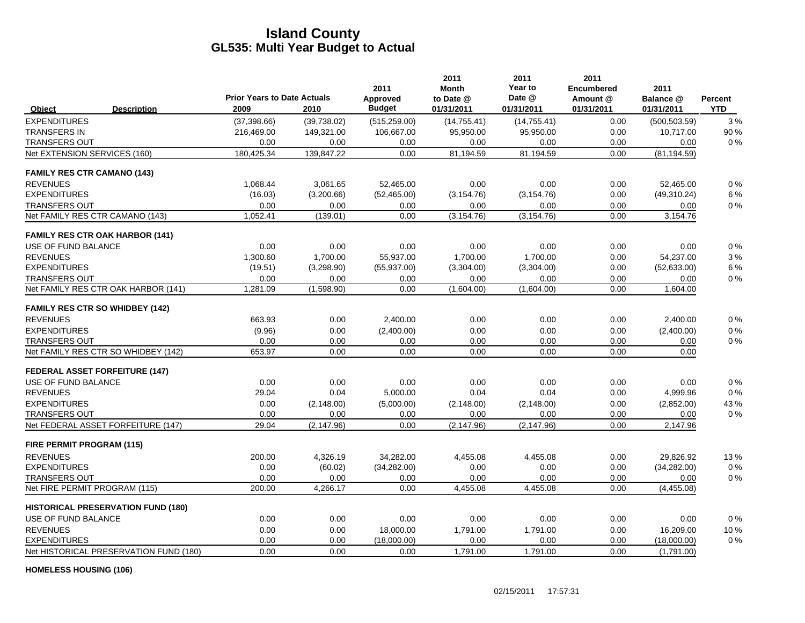|                                           | <b>Prior Years to Date Actuals</b> |             | 2011<br>Approved | 2011<br><b>Month</b><br>to Date @ | 2011<br>Year to<br>Date @ | 2011<br><b>Encumbered</b><br>Amount @ | 2011<br>Balance @ | <b>Percent</b> |
|-------------------------------------------|------------------------------------|-------------|------------------|-----------------------------------|---------------------------|---------------------------------------|-------------------|----------------|
| <b>Description</b><br>Object              | 2009                               | 2010        | <b>Budget</b>    | 01/31/2011                        | 01/31/2011                | 01/31/2011                            | 01/31/2011        | <b>YTD</b>     |
| <b>EXPENDITURES</b>                       | (37, 398.66)                       | (39,738.02) | (515, 259.00)    | (14, 755.41)                      | (14, 755.41)              | 0.00                                  | (500, 503.59)     | 3%             |
| <b>TRANSFERS IN</b>                       | 216,469.00                         | 149,321.00  | 106,667.00       | 95,950.00                         | 95,950.00                 | 0.00                                  | 10,717.00         | 90 %           |
| <b>TRANSFERS OUT</b>                      | 0.00                               | 0.00        | 0.00             | 0.00                              | 0.00                      | 0.00                                  | 0.00              | 0%             |
| Net EXTENSION SERVICES (160)              | 180,425.34                         | 139,847.22  | 0.00             | 81,194.59                         | 81,194.59                 | 0.00                                  | (81, 194.59)      |                |
| <b>FAMILY RES CTR CAMANO (143)</b>        |                                    |             |                  |                                   |                           |                                       |                   |                |
| <b>REVENUES</b>                           | 1.068.44                           | 3,061.65    | 52,465.00        | 0.00                              | 0.00                      | 0.00                                  | 52,465.00         | 0%             |
| <b>EXPENDITURES</b>                       | (16.03)                            | (3,200.66)  | (52, 465.00)     | (3, 154.76)                       | (3, 154.76)               | 0.00                                  | (49,310.24)       | 6 %            |
| <b>TRANSFERS OUT</b>                      | 0.00                               | 0.00        | 0.00             | 0.00                              | 0.00                      | 0.00                                  | 0.00              | 0%             |
| Net FAMILY RES CTR CAMANO (143)           | 1,052.41                           | (139.01)    | 0.00             | (3, 154.76)                       | (3, 154.76)               | 0.00                                  | 3,154.76          |                |
| <b>FAMILY RES CTR OAK HARBOR (141)</b>    |                                    |             |                  |                                   |                           |                                       |                   |                |
| USE OF FUND BALANCE                       | 0.00                               | 0.00        | 0.00             | 0.00                              | 0.00                      | 0.00                                  | 0.00              | 0%             |
| <b>REVENUES</b>                           | 1,300.60                           | 1,700.00    | 55,937.00        | 1,700.00                          | 1,700.00                  | 0.00                                  | 54,237.00         | 3%             |
| <b>EXPENDITURES</b>                       | (19.51)                            | (3,298.90)  | (55, 937.00)     | (3,304.00)                        | (3,304.00)                | 0.00                                  | (52, 633.00)      | 6 %            |
| <b>TRANSFERS OUT</b>                      | 0.00                               | 0.00        | 0.00             | 0.00                              | 0.00                      | 0.00                                  | 0.00              | 0%             |
| Net FAMILY RES CTR OAK HARBOR (141)       | 1,281.09                           | (1,598.90)  | 0.00             | (1,604.00)                        | (1,604.00)                | 0.00                                  | 1,604.00          |                |
| <b>FAMILY RES CTR SO WHIDBEY (142)</b>    |                                    |             |                  |                                   |                           |                                       |                   |                |
| <b>REVENUES</b>                           | 663.93                             | 0.00        | 2,400.00         | 0.00                              | 0.00                      | 0.00                                  | 2,400.00          | 0%             |
| <b>EXPENDITURES</b>                       | (9.96)                             | 0.00        | (2,400.00)       | 0.00                              | 0.00                      | 0.00                                  | (2,400.00)        | $0\%$          |
| <b>TRANSFERS OUT</b>                      | 0.00                               | 0.00        | 0.00             | 0.00                              | 0.00                      | 0.00                                  | 0.00              | $0\%$          |
| Net FAMILY RES CTR SO WHIDBEY (142)       | 653.97                             | 0.00        | 0.00             | 0.00                              | 0.00                      | 0.00                                  | 0.00              |                |
| <b>FEDERAL ASSET FORFEITURE (147)</b>     |                                    |             |                  |                                   |                           |                                       |                   |                |
| USE OF FUND BALANCE                       | 0.00                               | 0.00        | 0.00             | 0.00                              | 0.00                      | 0.00                                  | 0.00              | 0%             |
| <b>REVENUES</b>                           | 29.04                              | 0.04        | 5,000.00         | 0.04                              | 0.04                      | 0.00                                  | 4,999.96          | 0%             |
| <b>EXPENDITURES</b>                       | 0.00                               | (2, 148.00) | (5,000.00)       | (2, 148.00)                       | (2, 148.00)               | 0.00                                  | (2,852.00)        | 43 %           |
| <b>TRANSFERS OUT</b>                      | 0.00                               | 0.00        | 0.00             | 0.00                              | 0.00                      | 0.00                                  | 0.00              | 0%             |
| Net FEDERAL ASSET FORFEITURE (147)        | 29.04                              | (2, 147.96) | 0.00             | (2, 147.96)                       | (2, 147.96)               | 0.00                                  | 2,147.96          |                |
| FIRE PERMIT PROGRAM (115)                 |                                    |             |                  |                                   |                           |                                       |                   |                |
| <b>REVENUES</b>                           | 200.00                             | 4,326.19    | 34,282.00        | 4,455.08                          | 4.455.08                  | 0.00                                  | 29,826.92         | 13%            |
| <b>EXPENDITURES</b>                       | 0.00                               | (60.02)     | (34, 282.00)     | 0.00                              | 0.00                      | 0.00                                  | (34, 282.00)      | $0\%$          |
| <b>TRANSFERS OUT</b>                      | 0.00                               | 0.00        | 0.00             | 0.00                              | 0.00                      | 0.00                                  | 0.00              | 0%             |
| Net FIRE PERMIT PROGRAM (115)             | 200.00                             | 4,266.17    | 0.00             | 4,455.08                          | 4,455.08                  | 0.00                                  | (4,455.08)        |                |
| <b>HISTORICAL PRESERVATION FUND (180)</b> |                                    |             |                  |                                   |                           |                                       |                   |                |
| USE OF FUND BALANCE                       | 0.00                               | 0.00        | 0.00             | 0.00                              | 0.00                      | 0.00                                  | 0.00              | $0\%$          |
| <b>REVENUES</b>                           | 0.00                               | 0.00        | 18,000.00        | 1,791.00                          | 1,791.00                  | 0.00                                  | 16,209.00         | 10%            |
| <b>EXPENDITURES</b>                       | 0.00                               | 0.00        | (18,000.00)      | 0.00                              | 0.00                      | 0.00                                  | (18,000.00)       | 0%             |
| Net HISTORICAL PRESERVATION FUND (180)    | 0.00                               | 0.00        | 0.00             | 1,791.00                          | 1,791.00                  | 0.00                                  | (1,791.00)        |                |

**HOMELESS HOUSING (106)**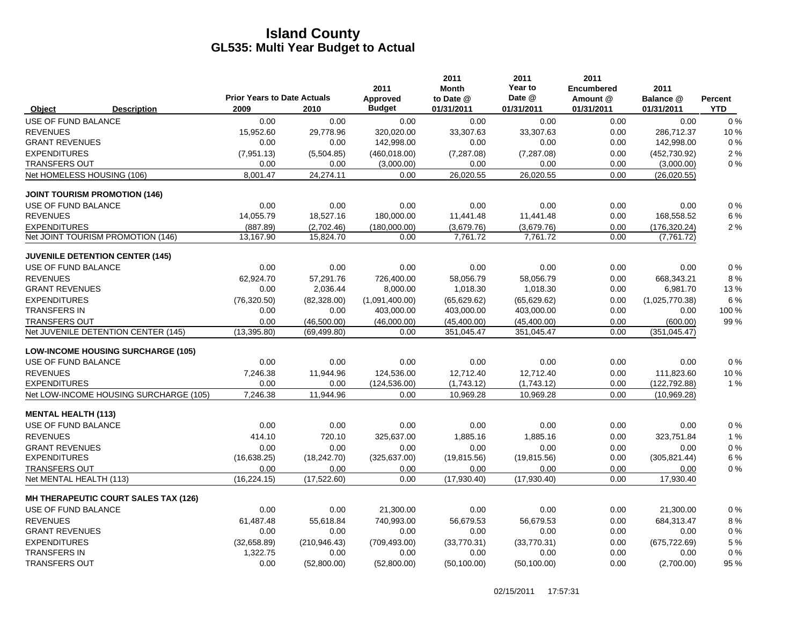|                            |                                             |                                            |               | 2011                      | 2011<br><b>Month</b>    | 2011<br>Year to      | 2011<br><b>Encumbered</b> | 2011                    |                       |
|----------------------------|---------------------------------------------|--------------------------------------------|---------------|---------------------------|-------------------------|----------------------|---------------------------|-------------------------|-----------------------|
| Object                     | <b>Description</b>                          | <b>Prior Years to Date Actuals</b><br>2009 | 2010          | Approved<br><b>Budget</b> | to Date @<br>01/31/2011 | Date @<br>01/31/2011 | Amount @<br>01/31/2011    | Balance @<br>01/31/2011 | Percent<br><b>YTD</b> |
| USE OF FUND BALANCE        |                                             | 0.00                                       | 0.00          | 0.00                      | 0.00                    | 0.00                 | 0.00                      | 0.00                    | 0%                    |
| <b>REVENUES</b>            |                                             | 15,952.60                                  | 29,778.96     | 320,020.00                | 33,307.63               | 33,307.63            | 0.00                      | 286,712.37              | 10%                   |
| <b>GRANT REVENUES</b>      |                                             | 0.00                                       | 0.00          | 142,998.00                | 0.00                    | 0.00                 | 0.00                      | 142,998.00              | 0%                    |
| <b>EXPENDITURES</b>        |                                             | (7,951.13)                                 | (5,504.85)    | (460, 018.00)             | (7, 287.08)             | (7, 287.08)          | 0.00                      | (452, 730.92)           | 2%                    |
| <b>TRANSFERS OUT</b>       |                                             | 0.00                                       | 0.00          | (3,000.00)                | 0.00                    | 0.00                 | 0.00                      | (3,000.00)              | 0%                    |
| Net HOMELESS HOUSING (106) |                                             | 8,001.47                                   | 24,274.11     | 0.00                      | 26,020.55               | 26,020.55            | 0.00                      | (26,020.55)             |                       |
|                            | <b>JOINT TOURISM PROMOTION (146)</b>        |                                            |               |                           |                         |                      |                           |                         |                       |
| USE OF FUND BALANCE        |                                             | 0.00                                       | 0.00          | 0.00                      | 0.00                    | 0.00                 | 0.00                      | 0.00                    | 0%                    |
| <b>REVENUES</b>            |                                             | 14,055.79                                  | 18,527.16     | 180,000.00                | 11,441.48               | 11,441.48            | 0.00                      | 168,558.52              | 6 %                   |
| <b>EXPENDITURES</b>        |                                             | (887.89)                                   | (2,702.46)    | (180,000.00)              | (3,679.76)              | (3,679.76)           | 0.00                      | (176, 320.24)           | 2%                    |
|                            | Net JOINT TOURISM PROMOTION (146)           | 13,167.90                                  | 15,824.70     | 0.00                      | 7,761.72                | 7,761.72             | 0.00                      | (7, 761.72)             |                       |
|                            | <b>JUVENILE DETENTION CENTER (145)</b>      |                                            |               |                           |                         |                      |                           |                         |                       |
| USE OF FUND BALANCE        |                                             | 0.00                                       | 0.00          | 0.00                      | 0.00                    | 0.00                 | 0.00                      | 0.00                    | 0%                    |
| <b>REVENUES</b>            |                                             | 62,924.70                                  | 57,291.76     | 726,400.00                | 58,056.79               | 58,056.79            | 0.00                      | 668,343.21              | 8%                    |
| <b>GRANT REVENUES</b>      |                                             | 0.00                                       | 2,036.44      | 8,000.00                  | 1,018.30                | 1,018.30             | 0.00                      | 6,981.70                | 13%                   |
| <b>EXPENDITURES</b>        |                                             | (76, 320.50)                               | (82, 328.00)  | (1,091,400.00)            | (65, 629.62)            | (65, 629.62)         | 0.00                      | (1,025,770.38)          | 6 %                   |
| <b>TRANSFERS IN</b>        |                                             | 0.00                                       | 0.00          | 403,000.00                | 403,000.00              | 403,000.00           | 0.00                      | 0.00                    | 100 %                 |
| <b>TRANSFERS OUT</b>       |                                             | 0.00                                       | (46,500.00)   | (46,000.00)               | (45, 400.00)            | (45, 400.00)         | 0.00                      | (600.00)                | 99 %                  |
|                            | Net JUVENILE DETENTION CENTER (145)         | (13, 395.80)                               | (69, 499.80)  | 0.00                      | 351,045.47              | 351,045.47           | 0.00                      | (351, 045.47)           |                       |
|                            | <b>LOW-INCOME HOUSING SURCHARGE (105)</b>   |                                            |               |                           |                         |                      |                           |                         |                       |
| USE OF FUND BALANCE        |                                             | 0.00                                       | 0.00          | 0.00                      | 0.00                    | 0.00                 | 0.00                      | 0.00                    | 0%                    |
| <b>REVENUES</b>            |                                             | 7,246.38                                   | 11,944.96     | 124,536.00                | 12,712.40               | 12,712.40            | 0.00                      | 111,823.60              | 10%                   |
| <b>EXPENDITURES</b>        |                                             | 0.00                                       | 0.00          | (124, 536.00)             | (1,743.12)              | (1,743.12)           | 0.00                      | (122, 792.88)           | 1%                    |
|                            | Net LOW-INCOME HOUSING SURCHARGE (105)      | 7,246.38                                   | 11,944.96     | 0.00                      | 10,969.28               | 10,969.28            | 0.00                      | (10,969.28)             |                       |
| <b>MENTAL HEALTH (113)</b> |                                             |                                            |               |                           |                         |                      |                           |                         |                       |
| USE OF FUND BALANCE        |                                             | 0.00                                       | 0.00          | 0.00                      | 0.00                    | 0.00                 | 0.00                      | 0.00                    | 0%                    |
| <b>REVENUES</b>            |                                             | 414.10                                     | 720.10        | 325,637.00                | 1,885.16                | 1,885.16             | 0.00                      | 323,751.84              | 1 %                   |
| <b>GRANT REVENUES</b>      |                                             | 0.00                                       | 0.00          | 0.00                      | 0.00                    | 0.00                 | 0.00                      | 0.00                    | 0%                    |
| <b>EXPENDITURES</b>        |                                             | (16, 638.25)                               | (18, 242.70)  | (325, 637.00)             | (19, 815.56)            | (19, 815.56)         | 0.00                      | (305, 821.44)           | 6 %                   |
| <b>TRANSFERS OUT</b>       |                                             | 0.00                                       | 0.00          | 0.00                      | 0.00                    | 0.00                 | 0.00                      | 0.00                    | 0%                    |
| Net MENTAL HEALTH (113)    |                                             | (16, 224.15)                               | (17, 522.60)  | 0.00                      | (17,930.40)             | (17,930.40)          | 0.00                      | 17,930.40               |                       |
|                            | <b>MH THERAPEUTIC COURT SALES TAX (126)</b> |                                            |               |                           |                         |                      |                           |                         |                       |
| USE OF FUND BALANCE        |                                             | 0.00                                       | 0.00          | 21,300.00                 | 0.00                    | 0.00                 | 0.00                      | 21,300.00               | 0%                    |
| <b>REVENUES</b>            |                                             | 61,487.48                                  | 55,618.84     | 740,993.00                | 56,679.53               | 56,679.53            | 0.00                      | 684,313.47              | 8%                    |
| <b>GRANT REVENUES</b>      |                                             | 0.00                                       | 0.00          | 0.00                      | 0.00                    | 0.00                 | 0.00                      | 0.00                    | 0%                    |
| <b>EXPENDITURES</b>        |                                             | (32,658.89)                                | (210, 946.43) | (709, 493.00)             | (33,770.31)             | (33,770.31)          | 0.00                      | (675, 722.69)           | 5 %                   |
| <b>TRANSFERS IN</b>        |                                             | 1,322.75                                   | 0.00          | 0.00                      | 0.00                    | 0.00                 | 0.00                      | 0.00                    | 0%                    |
| <b>TRANSFERS OUT</b>       |                                             | 0.00                                       | (52,800.00)   | (52,800.00)               | (50, 100.00)            | (50, 100.00)         | 0.00                      | (2,700.00)              | 95 %                  |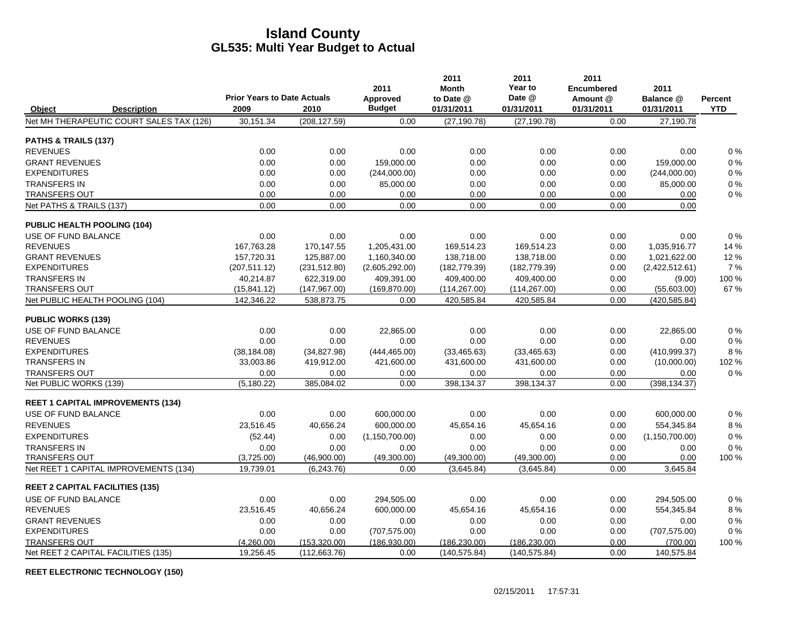|                                        |                                          | <b>Prior Years to Date Actuals</b> |               | 2011<br>Approved | 2011<br><b>Month</b><br>to Date @ | 2011<br>Year to<br>Date @ | 2011<br><b>Encumbered</b><br>Amount @ | 2011<br>Balance @ | Percent    |
|----------------------------------------|------------------------------------------|------------------------------------|---------------|------------------|-----------------------------------|---------------------------|---------------------------------------|-------------------|------------|
| <b>Object</b>                          | <b>Description</b>                       | 2009                               | 2010          | <b>Budget</b>    | 01/31/2011                        | 01/31/2011                | 01/31/2011                            | 01/31/2011        | <b>YTD</b> |
|                                        | Net MH THERAPEUTIC COURT SALES TAX (126) | 30,151.34                          | (208, 127.59) | 0.00             | (27, 190.78)                      | (27, 190.78)              | 0.00                                  | 27,190.78         |            |
| PATHS & TRAILS (137)                   |                                          |                                    |               |                  |                                   |                           |                                       |                   |            |
| <b>REVENUES</b>                        |                                          | 0.00                               | 0.00          | 0.00             | 0.00                              | 0.00                      | 0.00                                  | 0.00              | $0\%$      |
| <b>GRANT REVENUES</b>                  |                                          | 0.00                               | 0.00          | 159.000.00       | 0.00                              | 0.00                      | 0.00                                  | 159.000.00        | $0\ \%$    |
| <b>EXPENDITURES</b>                    |                                          | 0.00                               | 0.00          | (244,000.00)     | 0.00                              | 0.00                      | 0.00                                  | (244,000.00)      | 0%         |
| <b>TRANSFERS IN</b>                    |                                          | 0.00                               | 0.00          | 85,000.00        | 0.00                              | 0.00                      | 0.00                                  | 85,000.00         | 0%         |
| <b>TRANSFERS OUT</b>                   |                                          | 0.00                               | 0.00          | 0.00             | 0.00                              | 0.00                      | 0.00                                  | 0.00              | 0%         |
| Net PATHS & TRAILS (137)               |                                          | 0.00                               | 0.00          | 0.00             | 0.00                              | 0.00                      | 0.00                                  | 0.00              |            |
| <b>PUBLIC HEALTH POOLING (104)</b>     |                                          |                                    |               |                  |                                   |                           |                                       |                   |            |
| USE OF FUND BALANCE                    |                                          | 0.00                               | 0.00          | 0.00             | 0.00                              | 0.00                      | 0.00                                  | 0.00              | 0%         |
| <b>REVENUES</b>                        |                                          | 167,763.28                         | 170,147.55    | 1,205,431.00     | 169,514.23                        | 169,514.23                | 0.00                                  | 1,035,916.77      | 14 %       |
| <b>GRANT REVENUES</b>                  |                                          | 157,720.31                         | 125,887.00    | 1,160,340.00     | 138,718.00                        | 138,718.00                | 0.00                                  | 1,021,622.00      | 12%        |
| <b>EXPENDITURES</b>                    |                                          | (207, 511.12)                      | (231, 512.80) | (2,605,292.00)   | (182, 779.39)                     | (182, 779.39)             | 0.00                                  | (2,422,512.61)    | 7%         |
| <b>TRANSFERS IN</b>                    |                                          | 40,214.87                          | 622,319.00    | 409,391.00       | 409,400.00                        | 409,400.00                | 0.00                                  | (9.00)            | 100 %      |
| <b>TRANSFERS OUT</b>                   |                                          | (15, 841.12)                       | (147, 967.00) | (169, 870.00)    | (114, 267.00)                     | (114, 267.00)             | 0.00                                  | (55,603.00)       | 67 %       |
| Net PUBLIC HEALTH POOLING (104)        |                                          | 142,346.22                         | 538,873.75    | 0.00             | 420,585.84                        | 420,585.84                | 0.00                                  | (420,585.84)      |            |
| <b>PUBLIC WORKS (139)</b>              |                                          |                                    |               |                  |                                   |                           |                                       |                   |            |
| USE OF FUND BALANCE                    |                                          | 0.00                               | 0.00          | 22,865.00        | 0.00                              | 0.00                      | 0.00                                  | 22,865.00         | $0\%$      |
| <b>REVENUES</b>                        |                                          | 0.00                               | 0.00          | 0.00             | 0.00                              | 0.00                      | 0.00                                  | 0.00              | $0\%$      |
| <b>EXPENDITURES</b>                    |                                          | (38, 184.08)                       | (34, 827.98)  | (444, 465.00)    | (33, 465.63)                      | (33, 465.63)              | 0.00                                  | (410,999.37)      | 8 %        |
| <b>TRANSFERS IN</b>                    |                                          | 33.003.86                          | 419,912.00    | 421,600.00       | 431,600.00                        | 431,600.00                | 0.00                                  | (10,000.00)       | 102 %      |
| <b>TRANSFERS OUT</b>                   |                                          | 0.00                               | 0.00          | 0.00             | 0.00                              | 0.00                      | 0.00                                  | 0.00              | $0\%$      |
| Net PUBLIC WORKS (139)                 |                                          | (5, 180.22)                        | 385,084.02    | 0.00             | 398,134.37                        | 398,134.37                | 0.00                                  | (398, 134.37)     |            |
|                                        | <b>REET 1 CAPITAL IMPROVEMENTS (134)</b> |                                    |               |                  |                                   |                           |                                       |                   |            |
| USE OF FUND BALANCE                    |                                          | 0.00                               | 0.00          | 600,000.00       | 0.00                              | 0.00                      | 0.00                                  | 600,000.00        | $0\%$      |
| <b>REVENUES</b>                        |                                          | 23,516.45                          | 40,656.24     | 600,000.00       | 45,654.16                         | 45,654.16                 | 0.00                                  | 554,345.84        | 8%         |
| <b>EXPENDITURES</b>                    |                                          | (52.44)                            | 0.00          | (1, 150, 700.00) | 0.00                              | 0.00                      | 0.00                                  | (1, 150, 700.00)  | $0\%$      |
| <b>TRANSFERS IN</b>                    |                                          | 0.00                               | 0.00          | 0.00             | 0.00                              | 0.00                      | 0.00                                  | 0.00              | 0%         |
| TRANSFERS OUT                          |                                          | (3,725.00)                         | (46,900.00)   | (49,300.00)      | (49,300.00)                       | (49,300.00)               | 0.00                                  | 0.00              | 100 %      |
|                                        | Net REET 1 CAPITAL IMPROVEMENTS (134)    | 19,739.01                          | (6, 243.76)   | 0.00             | (3,645.84)                        | (3,645.84)                | 0.00                                  | 3,645.84          |            |
| <b>REET 2 CAPITAL FACILITIES (135)</b> |                                          |                                    |               |                  |                                   |                           |                                       |                   |            |
| USE OF FUND BALANCE                    |                                          | 0.00                               | 0.00          | 294,505.00       | 0.00                              | 0.00                      | 0.00                                  | 294,505.00        | $0\%$      |
| <b>REVENUES</b>                        |                                          | 23,516.45                          | 40,656.24     | 600,000.00       | 45,654.16                         | 45,654.16                 | 0.00                                  | 554,345.84        | 8%         |
| <b>GRANT REVENUES</b>                  |                                          | 0.00                               | 0.00          | 0.00             | 0.00                              | 0.00                      | 0.00                                  | 0.00              | 0%         |
| <b>EXPENDITURES</b>                    |                                          | 0.00                               | 0.00          | (707, 575.00)    | 0.00                              | 0.00                      | 0.00                                  | (707, 575.00)     | 0%         |
| <b>TRANSFERS OUT</b>                   |                                          | (4,260.00)                         | (153, 320.00) | (186.930.00)     | (186, 230.00)                     | (186, 230.00)             | 0.00                                  | (700.00)          | 100 %      |
|                                        | Net REET 2 CAPITAL FACILITIES (135)      | 19,256.45                          | (112, 663.76) | 0.00             | (140.575.84)                      | (140, 575.84)             | 0.00                                  | 140,575.84        |            |

**REET ELECTRONIC TECHNOLOGY (150)**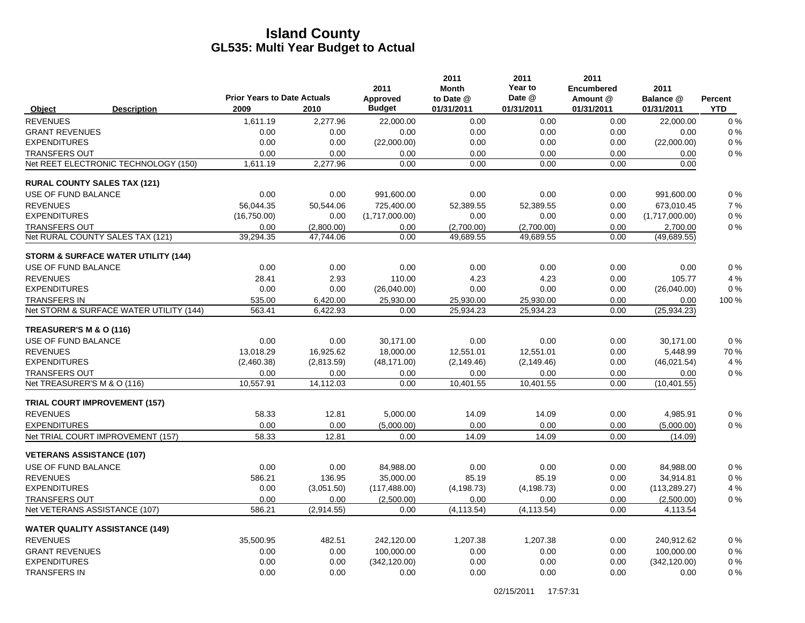|                                                 |                                            |                  | 2011                      | 2011<br><b>Month</b> | 2011<br>Year to    | 2011<br><b>Encumbered</b> | 2011                    |                  |
|-------------------------------------------------|--------------------------------------------|------------------|---------------------------|----------------------|--------------------|---------------------------|-------------------------|------------------|
|                                                 | <b>Prior Years to Date Actuals</b><br>2009 |                  | Approved<br><b>Budget</b> | to Date @            | Date @             | Amount @                  | Balance @               | <b>Percent</b>   |
| Object<br><b>Description</b><br><b>REVENUES</b> | 1,611.19                                   | 2010<br>2.277.96 | 22.000.00                 | 01/31/2011<br>0.00   | 01/31/2011<br>0.00 | 01/31/2011<br>0.00        | 01/31/2011<br>22.000.00 | <b>YTD</b><br>0% |
| <b>GRANT REVENUES</b>                           | 0.00                                       | 0.00             | 0.00                      | 0.00                 | 0.00               | 0.00                      | 0.00                    | 0%               |
| <b>EXPENDITURES</b>                             | 0.00                                       | 0.00             | (22,000.00)               | 0.00                 | 0.00               | 0.00                      | (22,000.00)             | 0%               |
| <b>TRANSFERS OUT</b>                            | 0.00                                       | 0.00             | 0.00                      | 0.00                 | 0.00               | 0.00                      | 0.00                    | 0%               |
| Net REET ELECTRONIC TECHNOLOGY (150)            | 1,611.19                                   | 2,277.96         | 0.00                      | 0.00                 | 0.00               | 0.00                      | 0.00                    |                  |
| <b>RURAL COUNTY SALES TAX (121)</b>             |                                            |                  |                           |                      |                    |                           |                         |                  |
| USE OF FUND BALANCE                             | 0.00                                       | 0.00             | 991,600.00                | 0.00                 | 0.00               | 0.00                      | 991,600.00              | 0%               |
| <b>REVENUES</b>                                 | 56.044.35                                  | 50.544.06        | 725.400.00                | 52.389.55            | 52.389.55          | 0.00                      | 673.010.45              | 7%               |
| <b>EXPENDITURES</b>                             | (16,750.00)                                | 0.00             | (1,717,000.00)            | 0.00                 | 0.00               | 0.00                      | (1,717,000.00)          | 0%               |
| <b>TRANSFERS OUT</b>                            | 0.00                                       | (2,800.00)       | 0.00                      | (2,700.00)           | (2,700.00)         | 0.00                      | 2,700.00                | 0%               |
| Net RURAL COUNTY SALES TAX (121)                | 39,294.35                                  | 47,744.06        | 0.00                      | 49,689.55            | 49,689.55          | 0.00                      | (49,689.55)             |                  |
| <b>STORM &amp; SURFACE WATER UTILITY (144)</b>  |                                            |                  |                           |                      |                    |                           |                         |                  |
| USE OF FUND BALANCE                             | 0.00                                       | 0.00             | 0.00                      | 0.00                 | 0.00               | 0.00                      | 0.00                    | 0%               |
| <b>REVENUES</b>                                 | 28.41                                      | 2.93             | 110.00                    | 4.23                 | 4.23               | 0.00                      | 105.77                  | 4 %              |
| <b>EXPENDITURES</b>                             | 0.00                                       | 0.00             | (26,040.00)               | 0.00                 | 0.00               | 0.00                      | (26,040.00)             | 0%               |
| <b>TRANSFERS IN</b>                             | 535.00                                     | 6,420.00         | 25,930.00                 | 25,930.00            | 25,930.00          | 0.00                      | 0.00                    | 100 %            |
| Net STORM & SURFACE WATER UTILITY (144)         | 563.41                                     | 6.422.93         | 0.00                      | 25,934.23            | 25.934.23          | 0.00                      | (25, 934.23)            |                  |
| TREASURER'S M & O (116)                         |                                            |                  |                           |                      |                    |                           |                         |                  |
| USE OF FUND BALANCE                             | 0.00                                       | 0.00             | 30,171.00                 | 0.00                 | 0.00               | 0.00                      | 30.171.00               | 0%               |
| <b>REVENUES</b>                                 | 13.018.29                                  | 16,925.62        | 18,000.00                 | 12,551.01            | 12.551.01          | 0.00                      | 5,448.99                | 70 %             |
| <b>EXPENDITURES</b>                             | (2,460.38)                                 | (2,813.59)       | (48, 171.00)              | (2, 149.46)          | (2, 149.46)        | 0.00                      | (46,021.54)             | 4 %              |
| <b>TRANSFERS OUT</b>                            | 0.00                                       | 0.00             | 0.00                      | 0.00                 | 0.00               | 0.00                      | 0.00                    | 0%               |
| Net TREASURER'S M & O (116)                     | 10,557.91                                  | 14,112.03        | 0.00                      | 10,401.55            | 10,401.55          | 0.00                      | (10, 401.55)            |                  |
| <b>TRIAL COURT IMPROVEMENT (157)</b>            |                                            |                  |                           |                      |                    |                           |                         |                  |
| <b>REVENUES</b>                                 | 58.33                                      | 12.81            | 5,000.00                  | 14.09                | 14.09              | 0.00                      | 4,985.91                | 0%               |
| <b>EXPENDITURES</b>                             | 0.00                                       | 0.00             | (5,000.00)                | 0.00                 | 0.00               | 0.00                      | (5,000.00)              | 0%               |
| Net TRIAL COURT IMPROVEMENT (157)               | 58.33                                      | 12.81            | 0.00                      | 14.09                | 14.09              | 0.00                      | (14.09)                 |                  |
| <b>VETERANS ASSISTANCE (107)</b>                |                                            |                  |                           |                      |                    |                           |                         |                  |
| USE OF FUND BALANCE                             | 0.00                                       | 0.00             | 84,988.00                 | 0.00                 | 0.00               | 0.00                      | 84,988.00               | 0%               |
| <b>REVENUES</b>                                 | 586.21                                     | 136.95           | 35.000.00                 | 85.19                | 85.19              | 0.00                      | 34,914.81               | 0%               |
| <b>EXPENDITURES</b>                             | 0.00                                       | (3,051.50)       | (117, 488.00)             | (4, 198.73)          | (4, 198.73)        | 0.00                      | (113, 289.27)           | 4 %              |
| <b>TRANSFERS OUT</b>                            | 0.00                                       | 0.00             | (2,500.00)                | 0.00                 | 0.00               | 0.00                      | (2,500.00)              | 0%               |
| Net VETERANS ASSISTANCE (107)                   | 586.21                                     | (2,914.55)       | 0.00                      | (4, 113.54)          | (4, 113.54)        | 0.00                      | 4,113.54                |                  |
| <b>WATER QUALITY ASSISTANCE (149)</b>           |                                            |                  |                           |                      |                    |                           |                         |                  |
| <b>REVENUES</b>                                 | 35,500.95                                  | 482.51           | 242,120.00                | 1,207.38             | 1,207.38           | 0.00                      | 240,912.62              | 0%               |
| <b>GRANT REVENUES</b>                           | 0.00                                       | 0.00             | 100,000.00                | 0.00                 | 0.00               | 0.00                      | 100,000.00              | 0%               |
| <b>EXPENDITURES</b>                             | 0.00                                       | 0.00             | (342, 120.00)             | 0.00                 | 0.00               | 0.00                      | (342, 120.00)           | 0%               |
| <b>TRANSFERS IN</b>                             | 0.00                                       | 0.00             | 0.00                      | 0.00                 | 0.00               | 0.00                      | 0.00                    | 0%               |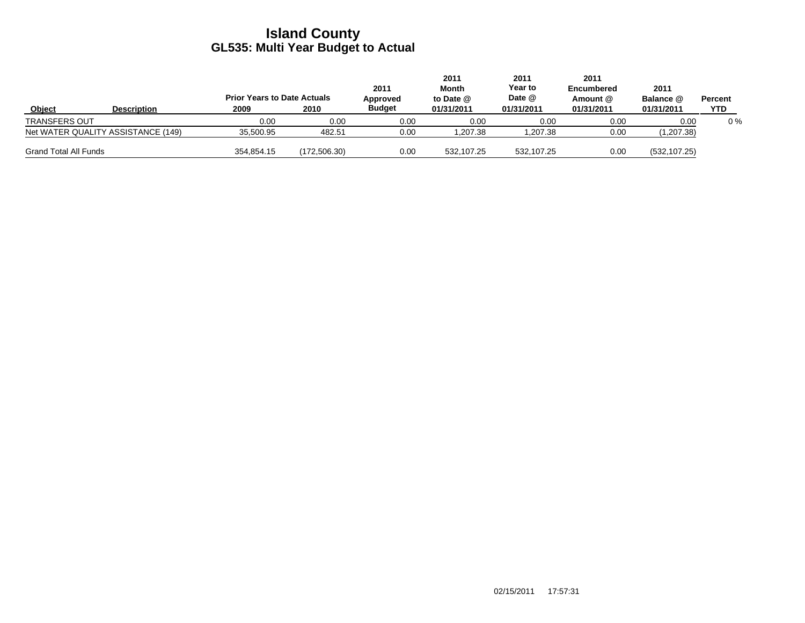|                                    |                    |            | 2011<br>2011<br>2011<br>Year to<br>Month<br>2011<br>Date @<br><b>Prior Years to Date Actuals</b><br>to Date $@$<br>Approved |               | <b>Encumbered</b><br>Amount @ | 2011<br>Balance @ | Percent    |               |            |
|------------------------------------|--------------------|------------|-----------------------------------------------------------------------------------------------------------------------------|---------------|-------------------------------|-------------------|------------|---------------|------------|
| Object                             | <b>Description</b> | 2009       | 2010                                                                                                                        | <b>Budget</b> | 01/31/2011                    | 01/31/2011        | 01/31/2011 | 01/31/2011    | <b>YTD</b> |
| <b>TRANSFERS OUT</b>               |                    | 0.00       | 0.00                                                                                                                        | 0.00          | 0.00                          | 0.00              | 0.00       | 0.00          | $0\%$      |
| Net WATER QUALITY ASSISTANCE (149) |                    | 35,500.95  | 482.51                                                                                                                      | 0.00          | 1,207.38                      | .207.38           | 0.00       | (1,207.38)    |            |
| <b>Grand Total All Funds</b>       |                    | 354.854.15 | (172, 506.30)                                                                                                               | 0.00          | 532.107.25                    | 532.107.25        | 0.00       | (532, 107.25) |            |